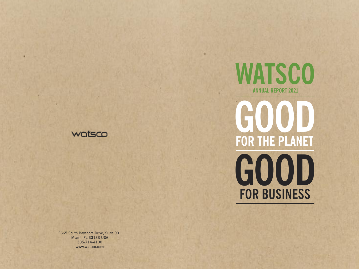

**GOOD** FOR THE PLANET **GOOD** 

**FOR BUSINESS** 

 $MATSC$  **O ANNUAL REPORT 2021** 

 $\blacksquare$ 

**PORT 2021** 

2665 South Bayshore Drive, Suite 901 Miami, FL 33133 USA 305-714-4100 www.watsco.com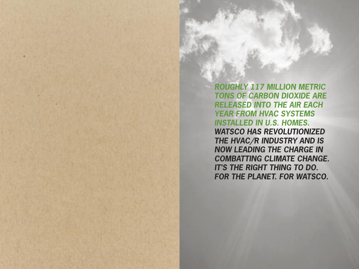*ROUGHLY 117 MILLION METRIC TONS OF CARBON DIOXIDE ARE RELEASED INTO THE AIR EACH YEAR FROM HVAC SYSTEMS INSTALLED IN U.S. HOMES. WATSCO HAS REVOLUTIONIZED THE HVAC/R INDUSTRY AND IS NOW LEADING THE CHARGE IN COMBATTING CLIMATE CHANGE. IT'S THE RIGHT THING TO DO. FOR THE PLANET. FOR WATSCO.*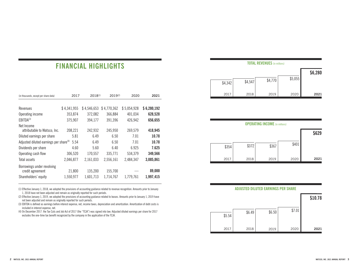## **FINANCIAL HIGHLIGHTS**

| (in thousands, except per share data)              | 2017        | 2018(1)     | 2019(2)     | 2020        | 2021        |
|----------------------------------------------------|-------------|-------------|-------------|-------------|-------------|
|                                                    |             |             |             |             |             |
| Revenues                                           | \$4,341,955 | \$4,546,653 | \$4,770,362 | \$5,054,928 | \$6,280,192 |
| Operating income                                   | 353,874     | 372,082     | 366,884     | 401,034     | 628,528     |
| EBITDA <sup>(3)</sup>                              | 375,907     | 394,177     | 391,396     | 426,942     | 656,655     |
| Net Income<br>attributable to Watsco, Inc.         | 208,221     | 242,932     | 245,950     | 269,579     | 418,945     |
| Diluted earnings per share                         | 5.81        | 6.49        | 6.50        | 7.01        | 10.78       |
| Adjusted diluted earnings per share <sup>(4)</sup> | 5.54        | 6.49        | 6.50        | 7.01        | 10.78       |
| Dividends per share                                | 4.60        | 5.60        | 6.40        | 6.925       | 7.625       |
| Operating cash flow                                | 306,520     | 170,557     | 335,771     | 534,379     | 349,566     |
| Total assets                                       | 2,046,877   | 2,161,033   | 2,556,161   | 2,484,347   | 3,085,861   |
| Borrowings under revolving<br>credit agreement     | 21,800      | 135,200     | 155,700     |             | 89,000      |
| Shareholders' equity                               | 1,550,977   | 1,601,713   | 1,714,767   | 1,779,761   | 1,997,415   |

(1) Effective January 1, 2018, we adopted the provisions of accounting guidance related to revenue recognition. Amounts prior to January 1, 2018 have not been adjusted and remain as originally reported for such periods.

(2) Effective January 1, 2019, we adopted the provisions of accounting guidance related to leases. Amounts prior to January 1, 2019 have not been adjusted and remain as originally reported for such periods.

(3) EBITDA is defined as earnings before interest expense, net, income taxes, depreciation and amortization. Amortization of debt costs is included in interest expense, net.

(4) On December 2017, the Tax Cuts and Job Act of 2017 (the "TCJA") was signed into law. Adjusted diluted earnings per share for 2017 excludes the one-time tax benefit recognized by the company in the application of the TCJA.

**TOTAL REVENUES** (in millions)

| \$4,342 | \$4,547 | \$4,770 | \$5,055 | \$6,280 |
|---------|---------|---------|---------|---------|
| 2017    | 2018    | 2019    | 2020    | 2021    |



### **ADJUSTED DILUTED EARNINGS PER SHARE**

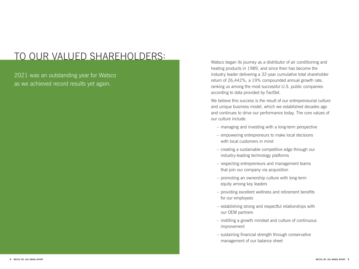## TO OUR VALUED SHAREHOLDERS:

2021 was an outstanding year for Watsco as we achieved record results yet again.

Watsco began its journey as a distributor of air conditioning and heating products in 1989, and since then has become the industry leader delivering a 32-year cumulative total shareholder return of 26,442%, a 19% compounded annual growth rate, ranking us among the most successful U.S. public companies according to data provided by FactSet.

We believe this success is the result of our entrepreneurial culture and unique business model, which we established decades ago and continues to drive our performance today. The core values of our culture include:

- managing and investing with a long-term perspective
- empowering entrepreneurs to make local decisions with local customers in mind
- creating a sustainable competitive edge through our industry-leading technology platforms
- respecting entrepreneurs and management teams that join our company via acquisition
- promoting an ownership culture with long-term equity among key leaders
- providing excellent wellness and retirement benefits for our employees
- establishing strong and respectful relationships with our OEM partners
- instilling a growth mindset and culture of continuous improvement
- sustaining financial strength through conservative management of our balance sheet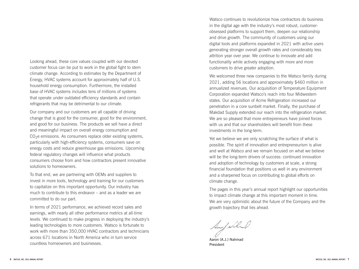Looking ahead, these core values coupled with our devoted customer focus can be put to work in the global fight to stem climate change. According to estimates by the Department of Energy, HVAC systems account for approximately half of U.S. household energy consumption. Furthermore, the installed base of HVAC systems includes tens of millions of systems that operate under outdated efficiency standards and contain refrigerants that may be detrimental to our climate.

Our company and our customers are all capable of driving change that is good for the consumer, good for the environment, and good for our business. The products we sell have a direct and meaningful impact on overall energy consumption and  $CO<sub>2</sub>e$  emissions. As consumers replace older existing systems, particularly with high-efficiency systems, consumers save on energy costs and reduce greenhouse gas emissions. Upcoming federal regulatory changes will influence what products consumers choose from and how contractors present innovative solutions to homeowners.

To that end, we are partnering with OEMs and suppliers to invest in more tools, technology and training for our customers to capitalize on this important opportunity. Our industry has much to contribute to this endeavor - and as a leader we are committed to do our part.

In terms of 2021 performance, we achieved record sales and earnings, with nearly all other performance metrics at all-time levels. We continued to make progress in deploying the industry's leading technologies to more customers. Watsco is fortunate to work with more than 350,000 HVAC contractors and technicians across 671 locations in North America who in turn service countless homeowners and businesses.

Watsco continues to revolutionize how contractors do business in the digital age with the industry's most robust, customerobsessed platforms to support them, deepen our relationship and drive growth. The community of customers using our digital tools and platforms expanded in 2021 with active users generating stronger overall growth rates and considerably less attrition year over year. We continue to innovate and add functionality while actively engaging with more and more customers to drive greater adoption.

We welcomed three new companies to the Watsco family during 2021, adding 56 locations and approximately \$460 million in annualized revenues. Our acquisition of Temperature Equipment Corporation expanded Watsco's reach into four Midwestern states. Our acquisition of Acme Refrigeration increased our penetration in a core sunbelt market. Finally, the purchase of Makdad Supply extended our reach into the refrigeration market. We are so pleased that more entrepreneurs have joined forces with us and that our shareholders will benefit from these investments in the long-term.

Yet we believe we are only scratching the surface of what is possible. The spirit of innovation and entrepreneurism is alive and well at Watsco and we remain focused on what we believe will be the long-term drivers of success: continued innovation and adoption of technology by customers at scale, a strong financial foundation that positions us well in any environment and a sharpened focus on contributing to global efforts on climate change.

The pages in this year's annual report highlight our opportunities to impact climate change at this important moment in time. We are very optimistic about the future of the Company and the growth trajectory that lies ahead.

Auf While

Aaron (A.J.) Nahmad President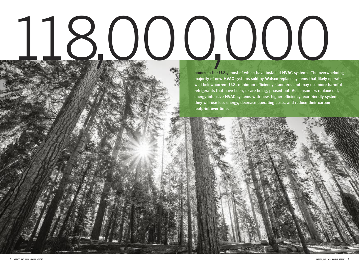# 118,000,000

**homes in the U.S., most of which have installed HVAC systems. The overwhelming majority of new HVAC systems sold by Watsco replace systems that likely operate well below current U.S. minimum efficiency standards and may use more harmful refrigerants that have been, or are being, phased-out. As consumers replace old, energy-intensive HVAC systems with new, higher-efficiency, eco-friendly systems, they will use less energy, decrease operating costs, and reduce their carbon footprint over time.**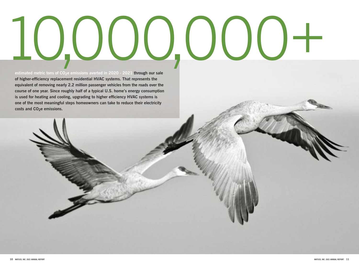# 10,000,000+

**estimated metric tons of CO2e emissions averted in 2020 - 2021 through our sale of higher-efficiency replacement residential HVAC systems. That represents the equivalent of removing nearly 2.2 million passenger vehicles from the roads over the course of one year. Since roughly half of a typical U.S. home's energy consumption is used for heating and cooling, upgrading to higher efficiency HVAC systems is one of the most meaningful steps homeowners can take to reduce their electricity costs and CO2e emissions.**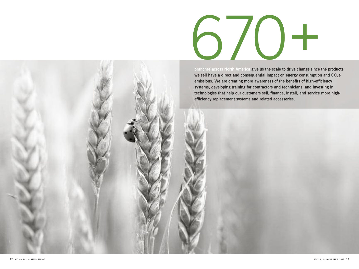

**branches across North America give us the scale to drive change since the products we sell have a direct and consequential impact on energy consumption and CO2e emissions. We are creating more awareness of the benefits of high-efficiency systems, developing training for contractors and technicians, and investing in technologies that help our customers sell, finance, install, and service more highefficiency replacement systems and related accessories.**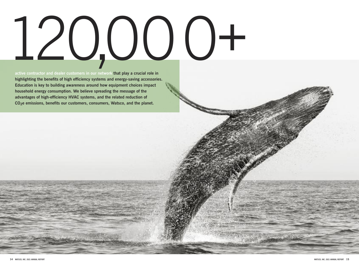# 120,000+

**active contractor and dealer customers in our network that play a crucial role in highlighting the benefits of high efficiency systems and energy-saving accessories. Education is key to building awareness around how equipment choices impact household energy consumption. We believe spreading the message of the advantages of high-efficiency HVAC systems, and the related reduction of CO2e emissions, benefits our customers, consumers, Watsco, and the planet.**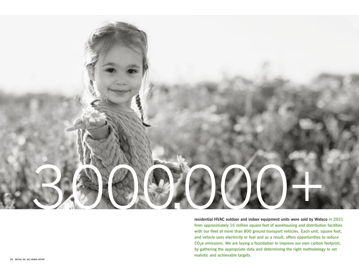

**residential HVAC outdoor and indoor equipment units were sold by Watsco in 2021 from approximately 16 million square feet of warehousing and distribution facilities with our fleet of more than 800 ground transport vehicles. Each unit, square foot, and vehicle uses electricity or fuel and as a result, offers opportunities to reduce CO2e emissions. We are laying a foundation to improve our own carbon footprint, by gathering the appropriate data and determining the right methodology to set realistic and achievable targets.**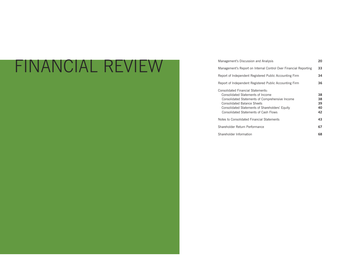## MANCIAL REVIEW Management's Discussion and Analysis **Proporting Paramagement's Report** on Internal Control Over Financial Reporting 33

| Management's Discussion and Analysis                                                                                                                                                                                                                                | ۷U                         |
|---------------------------------------------------------------------------------------------------------------------------------------------------------------------------------------------------------------------------------------------------------------------|----------------------------|
| Management's Report on Internal Control Over Financial Reporting                                                                                                                                                                                                    | 33                         |
| Report of Independent Registered Public Accounting Firm                                                                                                                                                                                                             | 34                         |
| Report of Independent Registered Public Accounting Firm                                                                                                                                                                                                             | 36                         |
| Consolidated Financial Statements:<br>Consolidated Statements of Income<br>Consolidated Statements of Comprehensive Income<br><b>Consolidated Balance Sheets</b><br>Consolidated Statements of Shareholders' Equity<br><b>Consolidated Statements of Cash Flows</b> | 38<br>38<br>39<br>40<br>42 |
| Notes to Consolidated Financial Statements                                                                                                                                                                                                                          | 43                         |
| Shareholder Return Performance                                                                                                                                                                                                                                      | 67                         |
| Shareholder Information                                                                                                                                                                                                                                             | 68                         |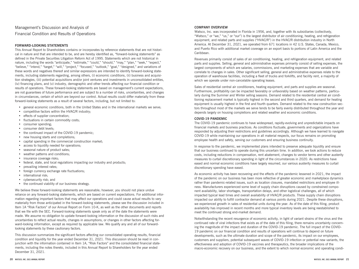### Management's Discussion and Analysis of Financial Condition and Results of Operations

### **FORWARD-LOOKING STATEMENTS**

This Annual Report to Shareholders contains or incorporates by reference statements that are not historical in nature and that are intended to be, and are hereby identified as, "forward-looking statements" as defined in the Private Securities Litigation Reform Act of 1995. Statements which are not historical in nature, including the words "anticipate," "estimate," "could," "should," "may," "plan," "seek," "expect," "believe," "intend," "target," "will," "project," "focused," "outlook," "goal," "designed," and variations of these words and negatives thereof and similar expressions are intended to identify forward-looking statements, including statements regarding, among others, (i) economic conditions, (ii) business and acquisition strategies, (iii) potential acquisitions and/or joint ventures and investments in unconsolidated entities, (iv) financing plans, and (v) industry, demographic and other trends affecting our financial condition or results of operations. These forward-looking statements are based on management's current expectations, are not guarantees of future performance and are subject to a number of risks, uncertainties, and changes in circumstances, certain of which are beyond our control. Actual results could differ materially from these forward-looking statements as a result of several factors, including, but not limited to:

- general economic conditions, both in the United States and in the international markets we serve;
- competitive factors within the HVAC/R industry;
- effects of supplier concentration;
- fluctuations in certain commodity costs;
- consumer spending;
- consumer debt levels;
- the continued impact of the COVID-19 pandemic;
- new housing starts and completions;
- capital spending in the commercial construction market;
- access to liquidity needed for operations;
- seasonal nature of product sales;
- weather patterns and conditions;
- insurance coverage risks;
- federal, state, and local regulations impacting our industry and products;
- prevailing interest rates;
- foreign currency exchange rate fluctuations;
- international risk;
- cybersecurity risk; and
- the continued viability of our business strategy.

We believe these forward-looking statements are reasonable; however, you should not place undue reliance on any forward-looking statements, which are based on current expectations. For additional information regarding important factors that may affect our operations and could cause actual results to vary materially from those anticipated in the forward-looking statements, please see the discussion included in Item 1A "Risk Factors" of our Annual Report on Form 10-K, as well as the other documents and reports that we file with the SEC. Forward-looking statements speak only as of the date the statements were made. We assume no obligation to update forward-looking information or the discussion of such risks and uncertainties to reflect actual results, changes in assumptions, or changes in other factors affecting forward-looking information, except as required by applicable law. We qualify any and all of our forwardlooking statements by these cautionary factors.

This discussion summarizes the significant factors affecting our consolidated operating results, financial condition and liquidity for the year ended December 31, 2021. This discussion should be read in conjunction with the information contained in Item 1A, "Risk Factors" and the consolidated financial statements, including the notes thereto, included in this Annual Report to Shareholders for the year ended December 31, 2021.

### **COMPANY OVERVIEW**

Watsco, Inc. was incorporated in Florida in 1956, and, together with its subsidiaries (collectively, "Watsco," or "we," "us," or "our") is the largest distributor of air conditioning, heating, and refrigeration equipment, and related parts and supplies ("HVAC/R") in the HVAC/R distribution industry in North America. At December 31, 2021, we operated from 671 locations in 42 U.S. States, Canada, Mexico, and Puerto Rico with additional market coverage on an export basis to portions of Latin America and the Caribbean.

Revenues primarily consist of sales of air conditioning, heating, and refrigeration equipment, and related parts and supplies. Selling, general and administrative expenses primarily consist of selling expenses, the largest components of which are salaries, commissions, and marketing expenses that are variable and correlate to changes in sales. Other significant selling, general and administrative expenses relate to the operation of warehouse facilities, including a fleet of trucks and forklifts, and facility rent, a majority of which we operate under non-cancelable operating leases.

Sales of residential central air conditioners, heating equipment, and parts and supplies are seasonal. Furthermore, profitability can be impacted favorably or unfavorably based on weather patterns, particularly during the Summer and Winter selling seasons. Demand related to the residential central air conditioning replacement market is typically highest in the second and third quarters, and demand for heating equipment is usually highest in the first and fourth quarters. Demand related to the new construction sectors throughout most of the markets we serve tends to be fairly evenly distributed throughout the year and depends largely on housing completions and related weather and economic conditions.

### **COVID-19 PANDEMIC**

The COVID-19 pandemic continues to have widespread, rapidly-evolving and unpredictable impacts on financial markets and business practices. As conditions fluctuate, governments and organizations have responded by adjusting their restrictions and guidelines accordingly. Although we have learned to navigate COVID-19 while maintaining our operations in all material respects, our focus remains on promoting employee health and safety, serving our customers and ensuring business continuity.

In response to the pandemic, we implemented plans intended to preserve adequate liquidity and ensure that our business continued to operate during this uncertain time. In addition, we took actions to reduce costs, including reductions in compensation, rent abatement, changes to vendor terms and other austerity measures to curtail discretionary spending in light of the circumstances in 2020. As restrictions have eased and normal economic conditions have largely resumed, our various austerity measures to curtail discretionary spending have eased.

As economic activity has been recovering and the effects of the pandemic lessened in 2021, the impact of the pandemic on our business has been more reflective of greater economic and marketplace dynamics rather than pandemic-related issues, such as location closures, mandated restrictions and employee illness. Manufacturers experienced some level of supply chain disruptions caused by constrained component availability, labor shortages, transportation delays, and other logistical challenges, all of which impacted typical lead times and overall availability of HVAC/R products. These supply chain disruptions impacted our ability to fulfill contractor demand at various points during 2021. Despite these disruptions, we experienced growth in sales of residential units during the year. As of the date of this filing, product availability has improved in recent months and more typical inventory levels are being reestablished to meet the continued strong end-market demand.

Notwithstanding the recent resurgence of economic activity, in light of variant strains of the virus and the continued rate of viral infections that exists as of the date of this filing, there remains uncertainty concerning the magnitude of the impact and duration of the COVID-19 pandemic. The full impact of the COVID-19 pandemic on our financial condition and results of operations will continue to depend on future developments, such as the ultimate duration and scope of the pandemic, its impact on our employees, customers and suppliers, potential subsequent waves of COVID-19 infection or potential new variants, the effectiveness and adoption of COVID-19 vaccines and therapeutics, the broader implications of the macro-economic recovery on our business, and the extent to which normal economic and operating condi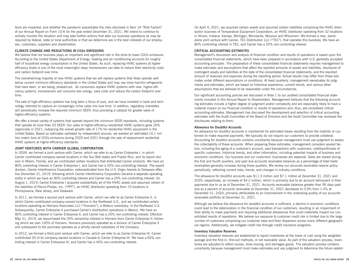tions are impacted, and whether the pandemic exacerbates the risks disclosed in Item 1A "Risk Factors" of our Annual Report on Form 10-K for the year ended December 31, 2021. We intend to continue to actively monitor the situation and may take further actions that alter our business operations as may be required by federal, state or local authorities or that we determine are in the best interests of our employees, customers, suppliers and shareholders.

### **CLIMATE CHANGE AND REDUCTIONS IN CO2e EMISSIONS**

We believe that our business plays an important and significant role in the drive to lower CO2e emissions. According to the United States Department of Energy, heating and air conditioning accounts for roughly half of household energy consumption in the United States. As such, replacing HVAC systems at higher efficiency levels is one of the most meaningful steps homeowners can take to reduce their electricity costs and carbon footprint over time.

The overwhelming majority of new HVAC systems that we sell replace systems that likely operate well below current minimum efficiency standards in the United States and may use more harmful refrigerants that have been, or are being, phased-out. As consumers replace HVAC systems with new, higher-efficiency systems, homeowners will consume less energy, save costs and reduce the carbon footprint over time.

The sale of high-efficiency systems has long been a focus of ours, and we have invested in tools and technology intended to capture an increasingly richer sales mix over time. In addition, regulatory mandates will periodically increase the required minimum SEER, thus providing a catalyst for greater sales of higher-efficiency systems.

We offer a broad variety of systems that operate beyond the minimum SEER standards, including systems that operate at more than 20 SEER. Our sales of higher-efficiency residential HVAC systems grew 26% organically in 2021, outpacing the overall growth rate of 17% for residential HVAC equipment in the United States. Based on estimates validated by independent sources, we averted an estimated 10.1 million metric tons of CO2e emissions during 2020 and 2021 through the sale of replacement residential HVAC systems at higher-efficiency standards.

### **JOINT VENTURES WITH CARRIER GLOBAL CORPORATION**

In 2009, we formed a joint venture with Carrier, which we refer to as Carrier Enterprise I, in which Carrier contributed company-owned locations in the Sun Belt states and Puerto Rico, and its export division in Miami, Florida, and we contributed certain locations that distributed Carrier products. We have an 80% controlling interest in Carrier Enterprise I, and Carrier has a 20% non-controlling interest. The export division, Carrier InterAmerica Corporation, redomesticated from the U.S. Virgin Islands to Delaware effective December 31, 2019, following which Carrier InterAmerica Corporation became a separate operating entity in which we have an 80% controlling interest and Carrier has a 20% non-controlling interest. On August 1, 2019, Carrier Enterprise I acquired substantially all of the HVAC assets and assumed certain of the liabilities of Peirce-Phelps, Inc. ("PPI"), an HVAC distributor operating from 19 locations in Pennsylvania, New Jersey, and Delaware.

In 2011, we formed a second joint venture with Carrier, which we refer to as Carrier Enterprise II, in which Carrier contributed company-owned locations in the Northeast U.S., and we contributed certain locations operating as Homans Associates LLC ("Homans"), a Watsco subsidiary, in the Northeast U.S. Subsequently, Carrier Enterprise II purchased Carrier's distribution operations in Mexico. We have an 80% controlling interest in Carrier Enterprise II, and Carrier has a 20% non-controlling interest. Effective May 31, 2019, we repurchased the 20% ownership interest in Homans from Carrier Enterprise II, following which we own 100% of Homans. Homans previously operated as a division of Carrier Enterprise II and subsequent to the purchase operates as a wholly owned subsidiary of the Company.

In 2012, we formed a third joint venture with Carrier, which we refer to as Carrier Enterprise III. Carrier contributed 35 of its company-owned locations in Canada to Carrier Enterprise III. We have a 60% controlling interest in Carrier Enterprise III, and Carrier has a 40% non-controlling interest.

On April 9, 2021, we acquired certain assets and assumed certain liabilities comprising the HVAC distribution business of Temperature Equipment Corporation, an HVAC distributor operating from 32 locations in Illinois, Indiana, Kansas, Michigan, Minnesota, Missouri and Wisconsin. We formed a new, standalone joint venture with Carrier, TEC Distribution LLC ("TEC"), that operates this business. We have an 80% controlling interest in TEC, and Carrier has a 20% non-controlling interest.

### **CRITICAL ACCOUNTING ESTIMATES**

Management's discussion and analysis of financial condition and results of operations is based upon the consolidated financial statements, which have been prepared in accordance with U.S. generally accepted accounting principles. The preparation of these consolidated financial statements requires management to make estimates and assumptions that affect the reported amounts of assets and liabilities, disclosure of contingent assets and liabilities at the date of the consolidated financial statements, and the reported amount of revenues and expenses during the reporting period. Actual results may differ from these estimates under different assumptions or conditions. At least quarterly, management reevaluates its judgments and estimates, which are based on historical experience, current trends, and various other assumptions that are believed to be reasonable under the circumstances.

Our significant accounting policies are discussed in Note 1 to our audited consolidated financial statements included in this Annual Report to Shareholders. Management believes that the following accounting estimates include a higher degree of judgment and/or complexity and are reasonably likely to have a material impact on our financial condition or results of operations and, thus, are considered critical accounting estimates. Management has discussed the development and selection of critical accounting estimates with the Audit Committee of the Board of Directors and the Audit Committee has reviewed the disclosures relating to them.

### **Allowance for Doubtful Accounts**

An allowance for doubtful accounts is maintained for estimated losses resulting from the inability of customers to make required payments. We typically do not require our customers to provide collateral. Accounting for doubtful accounts contains uncertainty because management must use judgment to assess the collectability of these accounts. When preparing these estimates, management considers several factors, including the aging of a customer's account, past transactions with customers, creditworthiness of specific customers, historical trends, and other information, including potential impacts of business and economic conditions. Our business and our customers' businesses are seasonal. Sales are lowest during the first and fourth quarters, and past due accounts receivable balances as a percentage of total trade receivables generally increase during these quarters. We review our accounts receivable reserve policy periodically, reflecting current risks, trends, and changes in industry conditions.

The allowance for doubtful accounts was \$11.3 million and \$7.1 million at December 31, 2021 and 2020, respectively, an increase of \$4.2 million, which is primarily due to an account delinquent in their payments due to us as of December 31, 2021. Accounts receivable balances greater than 90 days past due as a percent of accounts receivable at December 31, 2021 decreased to 0.9% from 1.4% at December 31, 2020, primarily attributable to an improvement in the underlying quality of our accounts receivable portfolio at December 31, 2021.

Although we believe the allowance for doubtful accounts is sufficient, a decline in economic conditions could lead to the deterioration in the financial condition of our customers, resulting in an impairment of their ability to make payments and requiring additional allowances that could materially impact our consolidated results of operations. We believe our exposure to customer credit risk is limited due to the large number of customers comprising our customer base and their dispersion across many different geographical regions. Additionally, we mitigate credit risk through credit insurance programs.

### **Inventory Valuation Reserves**

Inventory valuation reserves are established to report inventories at the lower of cost using the weightedaverage and the first-in, first-out methods, or net realizable value. As part of the valuation process, inventories are adjusted to reflect excess, slow-moving, and damaged goods. The valuation process contains uncertainty because management must make estimates and use judgment to determine the future salabil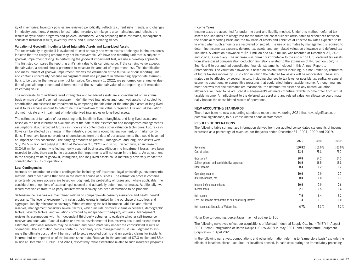ity of inventories. Inventory policies are reviewed periodically, reflecting current risks, trends, and changes in industry conditions. A reserve for estimated inventory shrinkage is also maintained and reflects the results of cycle count programs and physical inventories. When preparing these estimates, management considers historical results, inventory levels, and current operating trends.

### **Valuation of Goodwill, Indefinite Lived Intangible Assets and Long-Lived Assets**

The recoverability of goodwill is evaluated at least annually and when events or changes in circumstances indicate that the carrying amount may not be recoverable. We have one reporting unit that is subject to goodwill impairment testing. In performing the goodwill impairment test, we use a two-step approach. The first step compares the reporting unit's fair value to its carrying value. If the carrying value exceeds the fair value, a second step is performed to measure the amount of impairment loss. The identification and measurement of goodwill impairment involves the estimation of the fair value of our reporting unit and contains uncertainty because management must use judgment in determining appropriate assumptions to be used in the measurement of fair value. On January 1, 2022, we performed our annual evaluation of goodwill impairment and determined that the estimated fair value of our reporting unit exceeded its carrying value.

The recoverability of indefinite lived intangibles and long-lived assets are also evaluated on an annual basis or more often if deemed necessary. Indefinite lived intangibles and long-lived assets not subject to amortization are assessed for impairment by comparing the fair value of the intangible asset or long-lived asset to its carrying amount to determine if a write-down to fair value is required. Our annual evaluation did not indicate any impairment of indefinite lived intangibles or long-lived assets.

The estimates of fair value of our reporting unit, indefinite lived intangibles, and long-lived assets are based on the best information available as of the date of the assessment and incorporates management's assumptions about expected future cash flows and contemplates other valuation techniques. Future cash flows can be affected by changes in the industry, a declining economic environment, or market conditions. There have been no events or circumstances from the date of our assessments that would have had an impact on this conclusion. The carrying amounts of goodwill, intangibles, and long-lived assets were \$1,124.5 million and \$999.9 million at December 31, 2021 and 2020, respectively, an increase of \$124.6 million, primarily reflecting newly acquired businesses. Although no impairment losses have been recorded to date, there can be no assurance that impairments will not occur in the future. An adjustment to the carrying value of goodwill, intangibles, and long-lived assets could materially adversely impact the consolidated results of operations.

### **Loss Contingencies**

Accruals are recorded for various contingencies including self-insurance, legal proceedings, environmental matters, and other claims that arise in the normal course of business. The estimation process contains uncertainty because accruals are based on judgment, the probability of losses and, where applicable, the consideration of opinions of external legal counsel and actuarially determined estimates. Additionally, we record receivables from third party insurers when recovery has been determined to be probable.

Self-insurance reserves are maintained relative to company-wide casualty insurance and health benefit programs. The level of exposure from catastrophic events is limited by the purchase of stop-loss and aggregate liability reinsurance coverage. When estimating the self-insurance liabilities and related reserves, management considers several factors, which include historical claims experience, demographic factors, severity factors, and valuations provided by independent third-party actuaries. Management reviews its assumptions with its independent third-party actuaries to evaluate whether self-insurance reserves are adequate. If actual claims or adverse development of loss reserves occur and exceed these estimates, additional reserves may be required and could materially impact the consolidated results of operations. The estimation process contains uncertainty since management must use judgment to estimate the ultimate cost that will be incurred to settle reported claims and unreported claims for incidents incurred but not reported as of the balance sheet date. Reserves in the amounts of \$7.3 million and \$5.4 million at December 31, 2021 and 2020, respectively, were established related to such insurance programs.

### **Income Taxes**

Income taxes are accounted for under the asset and liability method. Under this method, deferred tax assets and liabilities are recognized for the future tax consequences attributable to differences between the financial reporting basis and the tax basis of assets and liabilities at enacted tax rates expected to be in effect when such amounts are recovered or settled. The use of estimates by management is required to determine income tax expense, deferred tax assets, and any related valuation allowance and deferred tax liabilities. A valuation allowance of \$5.1 million and \$0.7 million was recorded at December 31, 2021 and 2020, respectively. The increase was primarily attributable to the impact on U.S. deferred tax assets from share-based compensation deduction limitations related to the expansion of IRC Section 162(m). See Note 9 to our audited consolidated financial statements included in this Annual Report to Shareholders. The valuation allowance is based on several factors including, but not limited to, estimates of future taxable income by jurisdiction in which the deferred tax assets will be recoverable. These estimates can be affected by several factors, including changes to tax laws, or possible tax audits, or general economic conditions, or competitive pressures that could affect future taxable income. Although management believes that the estimates are reasonable, the deferred tax asset and any related valuation allowance will need to be adjusted if management's estimates of future taxable income differ from actual taxable income. An adjustment to the deferred tax asset and any related valuation allowance could materially impact the consolidated results of operations.

### **NEW ACCOUNTING STANDARDS**

There have been no new accounting standards made effective during 2021 that have significance, or potential significance, to our consolidated financial statements.

### **RESULTS OF OPERATIONS**

The following table summarizes information derived from our audited consolidated statements of income, expressed as a percentage of revenues, for the years ended December 31, 2021, 2020 and 2019.

|                                                           | 2021   | 2020   | 2019   |
|-----------------------------------------------------------|--------|--------|--------|
| Revenues                                                  | 100.0% | 100.0% | 100.0% |
| Cost of sales                                             | 73.4   | 75.8   | 75.7   |
| Gross profit                                              | 26.6   | 24.2   | 24.3   |
| Selling, general and administrative expenses              | 16.9   | 16.5   | 16.8   |
| Other income                                              | 0.3    | 0.2    | 0.2    |
| Operating income                                          | 10.0   | 7.9    | 7.7    |
| Interest expense, net                                     | 0.0    | 0.0    | 0.1    |
| Income before income taxes                                | 10.0   | 7.9    | 7.6    |
| Income taxes                                              | 2.1    | 1.5    | 1.4    |
| Net income                                                | 7.9    | 6.4    | 6.2    |
| Less: net income attributable to non-controlling interest | 1.3    | 1.1    | 1.0    |
| Net income attributable to Watsco, Inc.                   | 6.7%   | 5.3%   | 5.2%   |

Note: Due to rounding, percentages may not add up to 100.

The following narratives reflect our acquisitions of Makdad Industrial Supply Co., Inc. ("MIS") in August 2021, Acme Refrigeration of Baton Rouge LLC ("ACME") in May 2021, and Temperature Equipment Corporation in April 2021.

In the following narratives, computations and other information referring to "same-store basis" exclude the effects of locations closed, acquired, or locations opened, in each case during the immediately preceding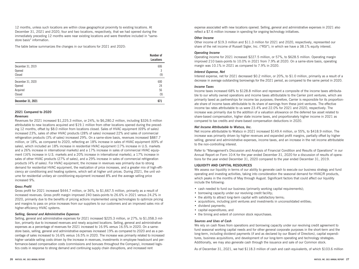12 months, unless such locations are within close geographical proximity to existing locations. At December 31, 2021 and 2020, four and two locations, respectively, that we had opened during the immediately preceding 12 months were near existing locations and were therefore included in "samestore basis" information.

The table below summarizes the changes in our locations for 2021 and 2020:

|                   | Number of<br><b>Locations</b> |
|-------------------|-------------------------------|
| December 31, 2019 | 606                           |
| Opened            | 3                             |
| Closed            | (9)                           |
| December 31, 2020 | 600                           |
| Opened            | 24                            |
| Acquired          | 56                            |
| Closed            | (9)                           |
| December 31, 2021 | 671                           |

### **2021 Compared to 2020**

### *Revenues*

Revenues for 2021 increased \$1,225.3 million, or 24%, to \$6,280.2 million, including \$326.5 million attributable to new locations acquired and \$19.1 million from other locations opened during the preceding 12 months, offset by \$8.0 million from locations closed. Sales of HVAC equipment (69% of sales) increased 23%, sales of other HVAC products (28% of sales) increased 22% and sales of commercial refrigeration products (3% of sales) increased 29%. On a same-store basis, revenues increased \$887.7 million, or 18%, as compared to 2020, reflecting an 18% increase in sales of HVAC equipment (69% of sales), which included an 18% increase in residential HVAC equipment (17% increase in U.S. markets and a 26% increase in international markets) and a 17% increase in sales of commercial HVAC equipment (16% increase in U.S. markets and a 20% increase in international markets), a 17% increase in sales of other HVAC products (27% of sales), and a 29% increase in sales of commercial refrigeration products (4% of sales). For HVAC equipment, the increase in revenues was primarily due to strong demand for residential HVAC equipment, the realization of price increases, and a greater mix of high-efficiency air conditioning and heating systems, which sell at higher unit prices. During 2021, the unit volume for residential unitary air conditioning equipment increased 8% and the average selling price increased 9%.

### *Gross Profit*

Gross profit for 2021 increased \$444.7 million, or 36%, to \$1,667.5 million, primarily as a result of increased revenues. Gross profit margin improved 240 basis-points to 26.6% in 2021 versus 24.2% in 2020, primarily due to the benefits of pricing actions implemented using technologies to optimize pricing and margins to pass on price increases from our suppliers to our customers and an improved sales mix of higher-efficiency HVAC systems.

### *Selling, General and Administrative Expenses*

Selling, general and administrative expenses for 2021 increased \$225.3 million, or 27%, to \$1,058.3 million, primarily due to increased revenues and newly acquired locations. Selling, general and administrative expenses as a percentage of revenues for 2021 increased to 16.9% versus 16.5% in 2020. On a samestore basis, selling, general and administrative expenses increased 19% as compared to 2020 and as a percentage of sales increased to 16.6% versus 16.5% in 2020. The increase was primarily related to increased higher variable selling costs driven by the increase in revenues, investments in employee headcount and performance-based compensation costs (commissions and bonuses throughout the Company), increased logistics costs in response to strong demand and continuing supply chain disruptions, and increased rent

expense associated with new locations opened. Selling, general and administrative expenses in 2021 also reflect a \$7.6 million increase in spending for ongoing technology initiatives.

### *Other Income*

Other income of \$19.3 million and \$11.3 million for 2021 and 2020, respectively, represented our share of the net income of Russell Sigler, Inc. ("RSI"), in which we have a 38.1% equity interest.

### *Operating Income*

Operating income for 2021 increased \$227.5 million, or 57%, to \$628.5 million. Operating margin improved 210 basis-points to 10.0% in 2021 from 7.9% at 2020. On a same-store basis, operating margin was 10.1% in 2021 as compared to 7.9% in 2020.

### *Interest Expense, Net*

Interest expense, net for 2021 decreased \$0.2 million, or 20%, to \$1.0 million, primarily as a result of a decrease in average outstanding borrowings for the 2021 period, as compared to the same period in 2020.

### *Income Taxes*

Income taxes increased 68% to \$128.8 million and represent a composite of the income taxes attributable to our wholly owned operations and income taxes attributable to the Carrier joint ventures, which are primarily taxed as partnerships for income tax purposes; therefore, Carrier is responsible for its proportionate share of income taxes attributable to its share of earnings from these joint ventures. The effective income tax rates attributable to us were 23.4% and 22.0% for 2021 and 2020, respectively. The increase was primarily due to the addition of a valuation allowance on the deferred tax asset related to share-based compensation, higher state income taxes, and proportionately higher income in 2021 as compared to tax credits and share-based compensation deductions in 2020.

### *Net Income Attributable to Watsco, Inc.*

Net income attributable to Watsco in 2021 increased \$149.4 million, or 55%, to \$418.9 million. The increase was primarily driven by higher revenues and expanded profit margins, partially offset by higher selling, general and administrative expenses, income taxes, and an increase in the net income attributable to the non-controlling interest.

Refer to "Management's Discussion and Analysis of Financial Condition and Results of Operations" in our Annual Report on Form 10-K for the year ended December 31, 2020 for a discussion of results of operations for the year ended December 31, 2020 compared to the year ended December 31, 2019.

### **LIQUIDITY AND CAPITAL RESOURCES**

We assess our liquidity in terms of our ability to generate cash to execute our business strategy and fund operating and investing activities, taking into consideration the seasonal demand for HVAC/R products, which peaks in the months of May through August. Significant factors that could affect our liquidity include the following:

- cash needed to fund our business (primarily working capital requirements);
- borrowing capacity under our revolving credit facility;
- the ability to attract long-term capital with satisfactory terms;
- acquisitions, including joint ventures and investments in unconsolidated entities;
- dividend payments;
- capital expenditures; and
- the timing and extent of common stock repurchases.

### *Sources and Uses of Cash*

We rely on cash flows from operations and borrowing capacity under our revolving credit agreement to fund seasonal working capital needs and for other general corporate purposes in the short-term and the long-term, including dividend payments (if and as declared by our Board of Directors), capital expenditures, business acquisitions, and development of our long-term operating and technology strategies. Additionally, we may also generate cash through the issuance and sale of our Common stock.

As of December 31, 2021, we had \$118.3 million of cash and cash equivalents, of which \$103.6 million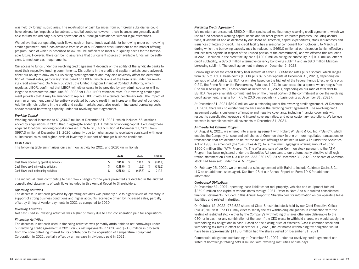was held by foreign subsidiaries. The repatriation of cash balances from our foreign subsidiaries could have adverse tax impacts or be subject to capital controls; however, these balances are generally available to fund the ordinary business operations of our foreign subsidiaries without legal restrictions.

We believe that our operating cash flows, cash on hand, funds available for borrowing under our revolving credit agreement, and funds available from sales of our Common stock under our at-the-market offering program, each of which is described below, will be sufficient to meet our liquidity needs for the foreseeable future. However, there can be no assurance that our current sources of available funds will be sufficient to meet our cash requirements.

Our access to funds under our revolving credit agreement depends on the ability of the syndicate banks to meet their respective funding commitments. Disruptions in the credit and capital markets could adversely affect our ability to draw on our revolving credit agreement and may also adversely affect the determination of interest rates, particularly rates based on LIBOR, which is one of the base rates under our revolving credit agreement. On March 5, 2021, the United Kingdom Financial Conduct Authority, which regulates LIBOR, confirmed that LIBOR will either cease to be provided by any administrator or will no longer be representative after June 30, 2023 for USD LIBOR reference rates. Our revolving credit agreement provides that it may be amended to replace LIBOR with an alternate benchmark rate. The impact of such an amendment cannot be entirely predicted but could result in an increase in the cost of our debt. Additionally, disruptions in the credit and capital markets could also result in increased borrowing costs and/or reduced borrowing capacity under our revolving credit agreement.

### *Working Capital*

Working capital increased to \$1,234.7 million at December 31, 2021, which includes 56 locations added by acquisitions in 2021 that in aggregate added \$91.1 million of working capital. Excluding these acquired locations, working capital increased 15% to \$1,143.6 million at December 31, 2021 from \$997.3 million at December 31, 2020, primarily due to higher accounts receivable consistent with overall increased sales and higher levels of inventory in support of stronger business conditions.

### *Cash Flows*

The following table summarizes our cash flow activity for 2021 and 2020 (in millions):

|                                                                                        | 2021             | 2020            | Change             |
|----------------------------------------------------------------------------------------|------------------|-----------------|--------------------|
| Cash flows provided by operating activities<br>Cash flows used in investing activities | 349.6<br>(148.6) | 534.4<br>(16.3) | (184.8)<br>(132.3) |
| Cash flows used in financing activities                                                | (228.6)          | (448.5)         | 219.9              |

The individual items contributing to cash flow changes for the years presented are detailed in the audited consolidated statements of cash flows included in this Annual Report to Shareholders.

### *Operating Activities*

The decrease in net cash provided by operating activities was primarily due to higher levels of inventory in support of strong business conditions and higher accounts receivable driven by increased sales, partially offset by timing of vendor payments in 2021 as compared to 2020.

### *Investing Activities*

Net cash used in investing activities was higher primarily due to cash consideration paid for acquisitions.

### *Financing Activities*

The decrease in net cash used in financing activities was primarily attributable to net borrowings under our revolving credit agreement in 2021 versus net repayments in 2020 and \$21.0 million in proceeds from the non-controlling interest for its contribution to the acquisition of Temperature Equipment Corporation in 2021, partially offset by an increase in dividends paid in 2021.

### *Revolving Credit Agreement*

We maintain an unsecured, \$560.0 million syndicated multicurrency revolving credit agreement, which we use to fund seasonal working capital needs and for other general corporate purposes, including acquisitions, dividends (if and as declared by our Board of Directors), capital expenditures, stock repurchases and issuances of letters of credit. The credit facility has a seasonal component from October 1 to March 31, during which the borrowing capacity may be reduced to \$460.0 million at our discretion (which effectively reduces fees payable in respect of the unused portion of the commitment), and we effected this reduction in 2021. Included in the credit facility are a \$100.0 million swingline subfacility, a \$10.0 million letter of credit subfacility, a \$75.0 million alternative currency borrowing sublimit and an \$8.0 million Mexican borrowing sublimit. The credit agreement matures on December 5, 2023.

Borrowings under the credit facility bear interest at either LIBOR-based rates plus a spread, which ranges from 87.5 to 150.0 basis-points (LIBOR plus 87.5 basis-points at December 31, 2021), depending on our ratio of total debt to EBITDA, or on rates based on the highest of the Federal Funds Effective Rate plus 0.5%, the Prime Rate or the Eurocurrency Rate plus 1.0%, in each case plus a spread which ranges from 0 to 50.0 basis-points (0 basis-points at December 31, 2021), depending on our ratio of total debt to EBITDA. We pay a variable commitment fee on the unused portion of the commitment under the revolving credit agreement, ranging from 7.5 to 20.0 basis-points (7.5 basis-points at December 31, 2021).

At December 31, 2021 \$89.0 million was outstanding under the revolving credit agreement. At December 31, 2020 there was no outstanding balance under the revolving credit agreement. The revolving credit agreement contains customary affirmative and negative covenants, including financial covenants with respect to consolidated leverage and interest coverage ratios, and other customary restrictions. We believe we were in compliance with all covenants at December 31, 2021.

### *At-the-Market Offering Program*

On August 6, 2021, we entered into a sales agreement with Robert W. Baird & Co. Inc. ("Baird"), which enables the Company to issue and sell shares of Common stock in one or more negotiated transactions or transactions that are deemed to be "at the market" offerings as defined in Rule 415 under the Securities Act of 1933, as amended (the "Securities Act"), for a maximum aggregate offering amount of up to \$300.0 million (the "ATM Program"). The offer and sale of our Common stock pursuant to the ATM Program has been registered under the Securities Act pursuant to our automatically effective shelf registration statement on Form S-3 (File No. 333-260758). As of December 31, 2021, no shares of Common stock had been sold under the ATM Program.

On February 25, 2022, we amended our sales agreement with Baird to include Goldman Sachs & Co. LLC as an additional sales agent. See Item 9B of our Annual Report on Form 10-K for additional information.

### *Contractual Obligations*

At December 31, 2021, operating lease liabilities for real property, vehicles and equipment totaled \$269.0 million and expire at various dates through 2031. Refer to Note 2 to our audited consolidated financial statements included in this Annual Report to Shareholders for information on our operating lease liabilities and related maturities.

On October 15, 2022, 975,622 shares of Class B restricted stock held by our Chief Executive Officer ("CEO") will vest. The CEO may elect to satisfy the tax withholding obligations in connection with the vesting of restricted stock either by the Company's withholding of shares otherwise deliverable to the CEO, or in cash, or any combination of the two. If the CEO elects to withhold shares, we would satisfy the withholding tax obligations in cash. Based on the closing price of Watsco's Class B common stock and withholding tax rates in effect at December 31, 2021, the estimated withholding tax obligation would have been approximately \$118.0 million had the shares vested on December 31, 2021.

Commercial obligations outstanding at December 31, 2021 under our revolving credit agreement consisted of borrowings totaling \$89.0 million with revolving maturities of nine days.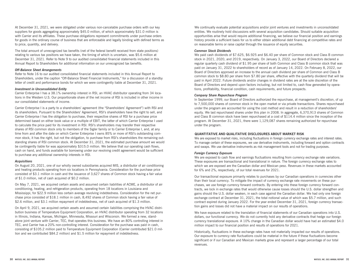At December 31, 2021, we were obligated under various non-cancelable purchase orders with our key suppliers for goods aggregating approximately \$45.0 million, of which approximately \$31.0 million is with Carrier and its affiliates. These purchase obligations represent commitments under purchase orders for goods in the ordinary course of business that are enforceable and legally binding with defined terms as to price, quantity, and delivery.

The total amount of unrecognized tax benefits (net of the federal benefit received from state positions) relating to various tax positions we have taken, the timing of which is uncertain, was \$5.6 million at December 31, 2021. Refer to Note 9 to our audited consolidated financial statements included in this Annual Report to Shareholders for additional information on our unrecognized tax benefits.

### *Off-Balance Sheet Arrangements*

Refer to Note 16 to our audited consolidated financial statements included in this Annual Report to Shareholders, under the caption "Off-Balance Sheet Financial Instruments," for a discussion of a standby letter of credit and performance bonds for which we were contingently liable at December 31, 2021.

### *Investment in Unconsolidated Entity*

Carrier Enterprise I has a 38.1% ownership interest in RSI, an HVAC distributor operating from 34 locations in the Western U.S. Our proportionate share of the net income of RSI is included in other income in our consolidated statements of income.

Carrier Enterprise I is a party to a shareholders' agreement (the "Shareholders' Agreement") with RSI and its shareholders. Pursuant to the Shareholders' Agreement, RSI's shareholders have the right to sell, and Carrier Enterprise I has the obligation to purchase, their respective shares of RSI for a purchase price determined based on either book value or a multiple of EBIT, the latter of which Carrier Enterprise I used to calculate the price paid for its investment in RSI. RSI's shareholders may transfer their respective shares of RSI common stock only to members of the Sigler family or to Carrier Enterprise I, and, at any time from and after the date on which Carrier Enterprise I owns 85% or more of RSI's outstanding common stock, it has the right, but not the obligation, to purchase from RSI's shareholders the remaining outstanding shares of RSI common stock. At December 31, 2021, the estimated purchase amount we would be contingently liable for was approximately \$315.0 million. We believe that our operating cash flows, cash on hand, and funds available for borrowing under our revolving credit agreement would be sufficient to purchase any additional ownership interests in RSI.

### *Acquisitions*

On August 20, 2021, one of our wholly owned subsidiaries acquired MIS, a distributor of air conditioning and heating products operating from six locations in Pennsylvania. Consideration for the purchase price consisted of \$3.1 million in cash and the issuance of 3,627 shares of Common stock having a fair value of \$1.0 million, net of cash acquired of \$0.2 million.

On May 7, 2021, we acquired certain assets and assumed certain liabilities of ACME, a distributor of air conditioning, heating, and refrigeration products, operating from 18 locations in Louisiana and Mississippi, for \$22.9 million less certain average revolving indebtedness. Consideration for the net purchase price consisted of \$18.1 million in cash, 8,492 shares of Common stock having a fair value of \$2.6 million, and \$3.1 million repayment of indebtedness, net of cash acquired of \$1.3 million.

On April 9, 2021, we acquired certain assets and assumed certain liabilities comprising the HVAC distribution business of Temperature Equipment Corporation, an HVAC distributor operating from 32 locations in Illinois, Indiana, Kansas, Michigan, Minnesota, Missouri and Wisconsin. We formed a new, standalone joint venture with Carrier, TEC, that operates this business. We have an 80% controlling interest in TEC, and Carrier has a 20% non-controlling interest. Consideration for the purchase was paid in cash, consisting of \$105.2 million paid to Temperature Equipment Corporation (Carrier contributed \$21.0 million and we contributed \$84.2 million) and \$1.5 million for repayment of indebtedness.

We continually evaluate potential acquisitions and/or joint ventures and investments in unconsolidated entities. We routinely hold discussions with several acquisition candidates. Should suitable acquisition opportunities arise that would require additional financing, we believe our financial position and earnings history provide a sufficient basis for us to either obtain additional debt financing at competitive rates and on reasonable terms or raise capital through the issuance of equity securities.

### *Common Stock Dividends*

We paid cash dividends of \$7.625, \$6.925 and \$6.40 per share of Common stock and Class B common stock in 2021, 2020, and 2019, respectively. On January 3, 2022, our Board of Directors declared a regular quarterly cash dividend of \$1.95 per share of both Common and Class B common stock that was paid on January 31, 2022 to shareholders of record as of January 14, 2022. On February 8, 2022, our Board of Directors approved an increase to the annual cash dividend per share of Common and Class B common stock to \$8.80 per share from \$7.80 per share, effective with the quarterly dividend that will be paid in April 2022. Future dividends and/or changes in dividend rates are at the sole discretion of the Board of Directors and depend upon factors including, but not limited to, cash flow generated by operations, profitability, financial condition, cash requirements, and future prospects.

### *Company Share Repurchase Program*

In September 1999, our Board of Directors authorized the repurchase, at management's discretion, of up to 7,500,000 shares of common stock in the open market or via private transactions. Shares repurchased under the program are accounted for using the cost method and result in a reduction of shareholders' equity. We last repurchased shares under this plan in 2008. In aggregate, 6,370,913 shares of Common and Class B common stock have been repurchased at a cost of \$114.4 million since the inception of the program. At December 31, 2021, there were 1,129,087 shares remaining authorized for repurchase under the program.

### **QUANTITATIVE AND QUALITATIVE DISCLOSURES ABOUT MARKET RISK**

We are exposed to market risks, including fluctuations in foreign currency exchange rates and interest rates. To manage certain of these exposures, we use derivative instruments, including forward and option contracts and swaps. We use derivative instruments as risk management tools and not for trading purposes.

### *Foreign Currency Exposure*

We are exposed to cash flow and earnings fluctuations resulting from currency exchange rate variations. These exposures are transactional and translational in nature. The foreign currency exchange rates to which we are exposed are the Canadian dollar and Mexican peso. Revenues in these markets accounted for 6% and 2%, respectively, of our total revenues for 2021.

Our transactional exposure primarily relates to purchases by our Canadian operations in currencies other than their local currency. To mitigate the impact of currency exchange rate movements on these purchases, we use foreign currency forward contracts. By entering into these foreign currency forward contracts, we lock in exchange rates that would otherwise cause losses should the U.S. dollar strengthen and gains should the U.S. dollar weaken, in each case against the Canadian dollar. We had only one foreign exchange contract at December 31, 2021, the total notional value of which was \$5.7 million, and such contract expired during January 2022. For the year ended December 31, 2021, foreign currency transaction gains and losses did not have a material impact on our results of operations.

We have exposure related to the translation of financial statements of our Canadian operations into U.S. dollars, our functional currency. We do not currently hold any derivative contracts that hedge our foreign currency translational exposure. A 10% change in the Canadian dollar would have had an estimated \$4.0 million impact to our financial position and results of operations for 2021.

Historically, fluctuations in these exchange rates have not materially impacted our results of operations. Our exposure to currency rate fluctuations could be material in the future if these fluctuations become significant or if our Canadian and Mexican markets grow and represent a larger percentage of our total revenues.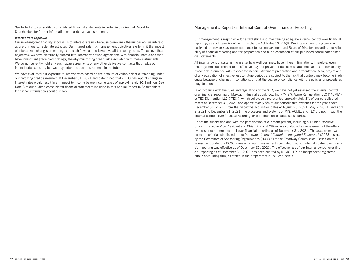### *Interest Rate Exposure*

Our revolving credit facility exposes us to interest rate risk because borrowings thereunder accrue interest at one or more variable interest rates. Our interest rate risk management objectives are to limit the impact of interest rate changes on earnings and cash flows and to lower overall borrowing costs. To achieve these objectives, we have historically entered into interest rate swap agreements with financial institutions that have investment grade credit ratings, thereby minimizing credit risk associated with these instruments. We do not currently hold any such swap agreements or any other derivative contracts that hedge our interest rate exposure, but we may enter into such instruments in the future.

We have evaluated our exposure to interest rates based on the amount of variable debt outstanding under our revolving credit agreement at December 31, 2021 and determined that a 100 basis-point change in interest rates would result in an impact to income before income taxes of approximately \$0.9 million. See Note 8 to our audited consolidated financial statements included in this Annual Report to Shareholders for further information about our debt.

### Management's Report on Internal Control Over Financial Reporting

Our management is responsible for establishing and maintaining adequate internal control over financial reporting, as such term is defined in Exchange Act Rules 13a-15(f). Our internal control system was designed to provide reasonable assurance to our management and Board of Directors regarding the reliability of financial reporting and the preparation and fair presentation of our published consolidated financial statements.

All internal control systems, no matter how well designed, have inherent limitations. Therefore, even those systems determined to be effective may not prevent or detect misstatements and can provide only reasonable assurance with respect to financial statement preparation and presentation. Also, projections of any evaluation of effectiveness to future periods are subject to the risk that controls may become inadequate because of changes in conditions, or that the degree of compliance with the policies or procedures may deteriorate.

In accordance with the rules and regulations of the SEC, we have not yet assessed the internal control over financial reporting of Makdad Industrial Supply Co., Inc. ("MIS"), Acme Refrigeration LLC ("ACME"), or TEC Distribution LLC ("TEC"), which collectively represented approximately 8% of our consolidated assets at December 31, 2021 and approximately 5% of our consolidated revenues for the year ended December 31, 2021. From the respective acquisition dates of August 20, 2021, May 7, 2021, and April 9, 2021 to December 31, 2021, the processes and systems of MIS, ACME, and TEC did not impact the internal controls over financial reporting for our other consolidated subsidiaries.

Under the supervision and with the participation of our management, including our Chief Executive Officer, Executive Vice President and Chief Financial Officer, we conducted an assessment of the effectiveness of our internal control over financial reporting as of December 31, 2021. The assessment was based on criteria established in the framework *Internal Control — Integrated Framework (2013)*, issued by the Committee of Sponsoring Organizations ("COSO") of the Treadway Commission. Based on this assessment under the COSO framework, our management concluded that our internal control over financial reporting was effective as of December 31, 2021. The effectiveness of our internal control over financial reporting as of December 31, 2021 has been audited by KPMG LLP, an independent registered public accounting firm, as stated in their report that is included herein.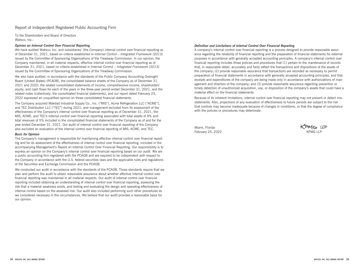### Report of Independent Registered Public Accounting Firm

To the Shareholders and Board of Directors Watsco, Inc.:

### *Opinion on Internal Control Over Financial Reporting*

We have audited Watsco, Inc. and subsidiaries' (the Company) internal control over financial reporting as of December 31, 2021, based on criteria established in *Internal Control – Integrated Framework (2013)* issued by the Committee of Sponsoring Organizations of the Treadway Commission. In our opinion, the Company maintained, in all material respects, effective internal control over financial reporting as of December 31, 2021, based on criteria established in *Internal Control – Integrated Framework (2013)* issued by the Committee of Sponsoring Organizations of the Treadway Commission.

We also have audited, in accordance with the standards of the Public Company Accounting Oversight Board (United States) (PCAOB), the consolidated balance sheets of the Company as of December 31, 2021 and 2020, the related consolidated statements of income, comprehensive income, shareholders' equity, and cash flows for each of the years in the three-year period ended December 31, 2021, and the related notes (collectively, the consolidated financial statements), and our report dated February 25, 2022 expressed an unqualified opinion on those consolidated financial statements.

The Company acquired Makdad Industrial Supply Co., Inc. ("MIS"), Acme Refrigeration LLC ("ACME"), and TEC Distribution LLC ("TEC") during 2021, and management excluded from its assessment of the effectiveness of the Company's internal control over financial reporting as of December 31, 2021, the MIS, ACME, and TEC's internal control over financial reporting associated with total assets of 8% and total revenues of 5% included in the consolidated financial statements of the Company as of and for the year ended December 31, 2021. Our audit of internal control over financial reporting of the Company also excluded an evaluation of the internal control over financial reporting of MIS, ACME, and TEC.

### *Basis for Opinion*

The Company's management is responsible for maintaining effective internal control over financial reporting and for its assessment of the effectiveness of internal control over financial reporting, included in the accompanying Management's Report on Internal Control Over Financial Reporting. Our responsibility is to express an opinion on the Company's internal control over financial reporting based on our audit. We are a public accounting firm registered with the PCAOB and are required to be independent with respect to the Company in accordance with the U.S. federal securities laws and the applicable rules and regulations of the Securities and Exchange Commission and the PCAOB.

We conducted our audit in accordance with the standards of the PCAOB. Those standards require that we plan and perform the audit to obtain reasonable assurance about whether effective internal control over financial reporting was maintained in all material respects. Our audit of internal control over financial reporting included obtaining an understanding of internal control over financial reporting, assessing the risk that a material weakness exists, and testing and evaluating the design and operating effectiveness of internal control based on the assessed risk. Our audit also included performing such other procedures as we considered necessary in the circumstances. We believe that our audit provides a reasonable basis for our opinion.

### *Definition and Limitations of Internal Control Over Financial Reporting*

A company's internal control over financial reporting is a process designed to provide reasonable assurance regarding the reliability of financial reporting and the preparation of financial statements for external purposes in accordance with generally accepted accounting principles. A company's internal control over financial reporting includes those policies and procedures that (1) pertain to the maintenance of records that, in reasonable detail, accurately and fairly reflect the transactions and dispositions of the assets of the company; (2) provide reasonable assurance that transactions are recorded as necessary to permit preparation of financial statements in accordance with generally accepted accounting principles, and that receipts and expenditures of the company are being made only in accordance with authorizations of management and directors of the company; and (3) provide reasonable assurance regarding prevention or timely detection of unauthorized acquisition, use, or disposition of the company's assets that could have a material effect on the financial statements.

Because of its inherent limitations, internal control over financial reporting may not prevent or detect misstatements. Also, projections of any evaluation of effectiveness to future periods are subject to the risk that controls may become inadequate because of changes in conditions, or that the degree of compliance with the policies or procedures may deteriorate.

Miami, Florida February 25, 2022 KPMG LIP KPMG LLP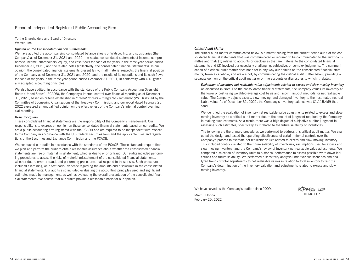### Report of Independent Registered Public Accounting Firm

To the Shareholders and Board of Directors Watsco, Inc.:

### *Opinion on the Consolidated Financial Statements*

We have audited the accompanying consolidated balance sheets of Watsco, Inc. and subsidiaries (the Company) as of December 31, 2021 and 2020, the related consolidated statements of income, comprehensive income, shareholders' equity, and cash flows for each of the years in the three-year period ended December 31, 2021, and the related notes (collectively, the consolidated financial statements). In our opinion, the consolidated financial statements present fairly, in all material respects, the financial position of the Company as of December 31, 2021 and 2020, and the results of its operations and its cash flows for each of the years in the three-year period ended December 31, 2021, in conformity with U.S. generally accepted accounting principles.

We also have audited, in accordance with the standards of the Public Company Accounting Oversight Board (United States) (PCAOB), the Company's internal control over financial reporting as of December 31, 2021, based on criteria established in *Internal Control – Integrated Framework (2013)* issued by the Committee of Sponsoring Organizations of the Treadway Commission, and our report dated February 25, 2022 expressed an unqualified opinion on the effectiveness of the Company's internal control over financial reporting.

### *Basis for Opinion*

These consolidated financial statements are the responsibility of the Company's management. Our responsibility is to express an opinion on these consolidated financial statements based on our audits. We are a public accounting firm registered with the PCAOB and are required to be independent with respect to the Company in accordance with the U.S. federal securities laws and the applicable rules and regulations of the Securities and Exchange Commission and the PCAOB.

We conducted our audits in accordance with the standards of the PCAOB. Those standards require that we plan and perform the audit to obtain reasonable assurance about whether the consolidated financial statements are free of material misstatement, whether due to error or fraud. Our audits included performing procedures to assess the risks of material misstatement of the consolidated financial statements, whether due to error or fraud, and performing procedures that respond to those risks. Such procedures included examining, on a test basis, evidence regarding the amounts and disclosures in the consolidated financial statements. Our audits also included evaluating the accounting principles used and significant estimates made by management, as well as evaluating the overall presentation of the consolidated financial statements. We believe that our audits provide a reasonable basis for our opinion.

### *Critical Audit Matter*

The critical audit matter communicated below is a matter arising from the current period audit of the consolidated financial statements that was communicated or required to be communicated to the audit committee and that: (1) relates to accounts or disclosures that are material to the consolidated financial statements and (2) involved our especially challenging, subjective, or complex judgments. The communication of a critical audit matter does not alter in any way our opinion on the consolidated financial statements, taken as a whole, and we are not, by communicating the critical audit matter below, providing a separate opinion on the critical audit matter or on the accounts or disclosures to which it relates.

*Evaluation of inventory net realizable value adjustments related to excess and slow-moving inventory*

As discussed in Note 1 to the consolidated financial statements, the Company values its inventory at the lower of cost using weighted-average cost basis and first-in, first-out methods, or net realizable value. The Company adjusts excess, slow-moving, and damaged inventory to their estimated net realizable value. As of December 31, 2021, the Company's inventory balance was \$1,115,469 thousand.

We identified the evaluation of inventory net realizable value adjustments related to excess and slowmoving inventory as a critical audit matter due to the amount of judgment required by the Company in making such estimates. As a result, there was a high degree of subjective auditor judgment in assessing such estimates, specifically as it related to the future salability of inventories.

The following are the primary procedures we performed to address this critical audit matter. We evaluated the design and tested the operating effectiveness of certain internal controls over the Company's process to estimate net realizable values related to excess and slow-moving inventory. This included controls related to the future salability of inventories, assumptions used for excess and slow-moving inventory, and the Company's review of inventory net realizable value adjustments. We compared a selection of inventory units to historical performance to assess possible write-down indications and future salability. We performed a sensitivity analysis under various scenarios and analyzed trends of total adjustments to net realizable values in relation to total inventory to test the Company's determination of the inventory valuation and adjustments related to excess and slowmoving inventory.

We have served as the Company's auditor since 2009.

KPMG LIP KPMG LLP

Miami, Florida February 25, 2022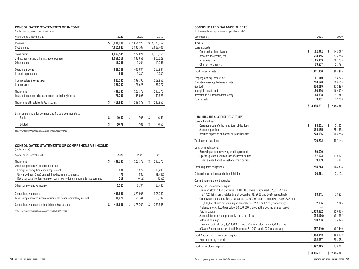### **CONSOLIDATED STATEMENTS OF INCOME**

(In thousands, except per share data)

| Years Ended December 31,                                                     |    | 2021                             |    | 2020                           | 2019                           |
|------------------------------------------------------------------------------|----|----------------------------------|----|--------------------------------|--------------------------------|
| Revenues<br>Cost of sales                                                    | \$ | 6,280,192<br>4,612,647           | \$ | 5,054,928<br>3,832,107         | \$<br>4,770,362<br>3,613,406   |
| Gross profit<br>Selling, general and administrative expenses<br>Other Income |    | 1,667,545<br>1,058,316<br>19,299 |    | 1,222,821<br>833,051<br>11,264 | 1,156,956<br>800,328<br>10,256 |
| Operating income<br>Interest expense, net                                    |    | 628,528<br>996                   |    | 401,034<br>1,239               | 366,884<br>4,032               |
| Income before income taxes<br>Income taxes                                   |    | 627.532<br>128,797               |    | 399.795<br>76,623              | 362,852<br>67,077              |
| Net income<br>Less: net income attributable to non-controlling interest      |    | 498.735<br>79,790                |    | 323.172<br>53,593              | 295,775<br>49,825              |
| Net income attributable to Watsco, Inc.                                      | \$ | 418,945                          | \$ | 269,579                        | \$<br>245.950                  |
| Earnings per share for Common and Class B common stock:<br>Racio             | ¢  | 10.83                            | ¢  | 7 U 3                          | 651                            |

| Basic          | 10.83 | w | 7.03                | w   | $0 - 1$<br>b.5 J |
|----------------|-------|---|---------------------|-----|------------------|
| <b>Diluted</b> | 10.78 | w | -<br>$^{\prime}.01$ | - D | 6.50             |
|                |       |   |                     |     |                  |

*See accompanying notes to consolidated financial statements.*

### **CONSOLIDATED STATEMENTS OF COMPREHENSIVE INCOME**

(In thousands)

| Years Ended December 31,                                                       | 2021    | 2020          |    | 2019    |
|--------------------------------------------------------------------------------|---------|---------------|----|---------|
| Net income                                                                     | 498.735 | \$<br>323.172 | S  | 295,775 |
| Other comprehensive income, net of tax                                         |         |               |    |         |
| Foreign currency translation adjustment                                        | 936     | 6.272         |    | 12,298  |
| Unrealized gain (loss) on cash flow hedging instruments                        | 70      | 880           |    | (1,461) |
| Reclassification of loss (gain) on cash flow hedging instruments into earnings | 219     | (418)         |    | (352)   |
| Other comprehensive income                                                     | 1.225   | 6.734         |    | 10.485  |
| Comprehensive income                                                           | 499.960 | 329.906       |    | 306.260 |
| Less: comprehensive income attributable to non-controlling interest            | 80,324  | 56.144        |    | 53,392  |
| Comprehensive income attributable to Watsco, Inc.                              | 419.636 | \$<br>273.762 | S. | 252.868 |

*See accompanying notes to consolidated financial statements.*

### **CONSOLIDATED BALANCE SHEETS**

(In thousands, except share and per share data)

| December 31,                                                                        | 2021          | 2020          |
|-------------------------------------------------------------------------------------|---------------|---------------|
| <b>ASSETS</b>                                                                       |               |               |
| Current assets:                                                                     |               |               |
| Cash and cash equivalents                                                           | \$<br>118,268 | \$<br>146,067 |
| Accounts receivable, net                                                            | 698,456       | 535,288       |
| Inventories, net                                                                    | 1,115,469     | 781,299       |
| Other current assets                                                                | 29,207        | 21,791        |
| Total current assets                                                                | 1,961,400     | 1,484,445     |
| Property and equipment, net                                                         | 111,019       | 98,225        |
| Operating lease right-of-use assets                                                 | 268,528       | 209,169       |
| Goodwill                                                                            | 434,019       | 412,486       |
| Intangible assets, net                                                              | 186,896       | 169,929       |
| Investment in unconsolidated entity                                                 | 114,808       | 97,847        |
| Other assets                                                                        | 9,191         | 12,246        |
|                                                                                     | \$3,085,861   | \$2,484,347   |
|                                                                                     |               |               |
| <b>LIABILITIES AND SHAREHOLDERS' EQUITY</b>                                         |               |               |
| Current liabilities:                                                                |               |               |
| Current portion of other long-term obligations                                      | \$<br>84,501  | \$<br>71,804  |
| Accounts payable                                                                    | 364,185       | 251,553       |
| Accrued expenses and other current liabilities                                      | 278,036       | 163,788       |
| <b>Total current liabilities</b>                                                    | 726,722       | 487,145       |
| Long-term obligations:                                                              |               |               |
| Borrowings under revolving credit agreement                                         | 89,000        |               |
| Operating lease liabilities, net of current portion                                 | 187,024       | 139,527       |
| Finance lease liabilities, net of current portion                                   | 9,189         | 4,811         |
| <b>Total long-term obligations</b>                                                  | 285,213       | 144,338       |
| Deferred income taxes and other liabilities                                         | 76,511        | 73,103        |
| Commitments and contingencies                                                       |               |               |
| Watsco, Inc. shareholders' equity:                                                  |               |               |
| Common stock, \$0.50 par value, 60,000,000 shares authorized; 37,881,247 and        |               |               |
| 37,702,489 shares outstanding at December 31, 2021 and 2020, respectively           | 18,941        | 18,851        |
| Class B common stock, \$0.50 par value, 10,000,000 shares authorized; 5,790,636 and |               |               |
| 5,691,456 shares outstanding at December 31, 2021 and 2020, respectively            | 2,895         | 2,846         |
| Preferred stock, \$0.50 par value, 10,000,000 shares authorized; no shares issued   |               |               |
| Paid-in capital                                                                     | 1,003,932     | 950,915       |
| Accumulated other comprehensive loss, net of tax                                    | (34, 176)     | (34, 867)     |
| <b>Retained earnings</b>                                                            | 760,796       | 636,373       |
| Treasury stock, at cost, 4,823,988 shares of Common stock and 48,263 shares         |               |               |
| of Class B common stock at both December 31, 2021 and 2020, respectively            | (87, 440)     | (87, 440)     |
| Total Watsco, Inc. shareholders' equity                                             | 1,664,948     | 1,486,678     |
| Non-controlling interest                                                            | 332,467       | 293,083       |
|                                                                                     |               |               |
| Total shareholders' equity                                                          | 1,997,415     | 1,779,761     |
|                                                                                     | \$3,085,861   | \$2,484,347   |

38 WATSCO, INC. 2021 ANNUAL REPORT 39 NATSCO, INC. 2021 ANNUAL REPORT 39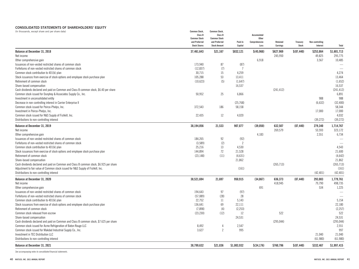### **CONSOLIDATED STATEMENTS OF SHAREHOLDERS' EQUITY**

| (In thousands, except share and per share data)                                        | <b>Common Stock,</b><br>Class B<br><b>Common Stock</b><br>and Preferred<br><b>Stock Shares</b> | <b>Common Stock,</b><br>Class B<br><b>Common Stock</b><br>and Preferred<br><b>Stock Amount</b> | Paid-In<br>Capital | Accumulated<br><b>Other</b><br>Comprehensive<br>Loss | Retained<br><b>Earnings</b> | <b>Treasury</b><br><b>Stock</b> | Non-controlling<br>Interest | Total                    |
|----------------------------------------------------------------------------------------|------------------------------------------------------------------------------------------------|------------------------------------------------------------------------------------------------|--------------------|------------------------------------------------------|-----------------------------|---------------------------------|-----------------------------|--------------------------|
| Balance at December 31, 2018                                                           | 37,461,643                                                                                     | \$21,167                                                                                       | \$832,121          | $$$ (45,968)                                         | \$627,969                   | \$ (87, 440)                    | \$253,864                   | \$1,601,713              |
| Net income                                                                             |                                                                                                |                                                                                                |                    |                                                      | 245,950                     |                                 | 49,825                      | 295,775                  |
| Other comprehensive gain                                                               |                                                                                                |                                                                                                |                    | 6,918                                                |                             |                                 | 3,567                       | 10,485                   |
| Issuances of non-vested restricted shares of common stock                              | 173,940                                                                                        | 87                                                                                             | (87)               |                                                      |                             |                                 |                             | $\overline{\phantom{0}}$ |
| Forfeitures of non-vested restricted shares of common stock                            | (12, 837)                                                                                      | (7)                                                                                            | $\overline{7}$     |                                                      |                             |                                 |                             |                          |
| Common stock contribution to 401(k) plan                                               | 30,715                                                                                         | 15                                                                                             | 4,259              |                                                      |                             |                                 |                             | 4,274                    |
| Stock issuances from exercise of stock options and employee stock purchase plan        | 105,288                                                                                        | 53                                                                                             | 13,411             |                                                      |                             |                                 |                             | 13,464                   |
| Retirement of common stock                                                             | (10,623)                                                                                       | (5)                                                                                            | (1,647)            |                                                      |                             |                                 |                             | (1,652)                  |
| Share-based compensation                                                               |                                                                                                |                                                                                                | 16,537             |                                                      |                             |                                 |                             | 16,537                   |
| Cash dividends declared and paid on Common and Class B common stock, \$6.40 per share  |                                                                                                |                                                                                                |                    |                                                      | (241, 412)                  |                                 |                             | (241, 412)               |
| Common stock issued for Dunphey & Associates Supply Co., Inc.                          | 50,952                                                                                         | 25                                                                                             | 6,866              |                                                      |                             |                                 |                             | 6,891                    |
| Investment in unconsolidated entity                                                    |                                                                                                |                                                                                                |                    |                                                      |                             |                                 | 988                         | 988                      |
| Decrease in non-controlling interest in Carrier Enterprise II                          |                                                                                                |                                                                                                | (25,768)           |                                                      |                             |                                 | (6,632)                     | (32, 400)                |
| Common stock issued for Peirce-Phelps, Inc.                                            | 372,543                                                                                        | 186                                                                                            | 58,158             |                                                      |                             |                                 |                             | 58,344                   |
| Investment in Peirce-Phelps, Inc.                                                      |                                                                                                |                                                                                                |                    |                                                      |                             |                                 | 17,000                      | 17,000                   |
| Common stock issued for N&S Supply of Fishkill, Inc.                                   | 22,435                                                                                         | 12                                                                                             | 4,020              |                                                      |                             |                                 |                             | 4,032                    |
| Distributions to non-controlling interest                                              |                                                                                                |                                                                                                |                    |                                                      |                             |                                 | (39, 272)                   | (39, 272)                |
| Balance at December 31, 2019<br>Net income                                             | 38,194,056                                                                                     | 21,533                                                                                         | 907,877            | (39,050)                                             | 632,507<br>269,579          | (87, 440)                       | 279,340<br>53,593           | 1,714,767<br>323,172     |
| Other comprehensive gain                                                               |                                                                                                |                                                                                                |                    | 4,183                                                |                             |                                 | 2,551                       | 6,734                    |
| Issuances of non-vested restricted shares of common stock                              | 184,265                                                                                        | 92                                                                                             | (92)               |                                                      |                             |                                 |                             |                          |
| Forfeitures of non-vested restricted shares of common stock                            | (3,589)                                                                                        | (2)                                                                                            | $\overline{2}$     |                                                      |                             |                                 |                             |                          |
| Common stock contribution to 401(k) plan                                               | 25,216                                                                                         | 13                                                                                             | 4,530              |                                                      |                             |                                 |                             | 4,543                    |
| Stock issuances from exercise of stock options and employee stock purchase plan        | 144,894                                                                                        | 72                                                                                             | 21,528             |                                                      |                             |                                 |                             | 21,600                   |
| Retirement of common stock                                                             | (23, 148)                                                                                      | (11)                                                                                           | (4,631)            |                                                      |                             |                                 |                             | (4, 642)                 |
| Share-based compensation                                                               |                                                                                                |                                                                                                | 21,862             |                                                      |                             |                                 |                             | 21,862                   |
| Cash dividends declared and paid on Common and Class B common stock, \$6.925 per share |                                                                                                |                                                                                                |                    |                                                      | (265, 713)                  |                                 |                             | (265, 713)               |
| Adjustment to fair value of Common stock issued for N&S Supply of Fishkill, Inc.       |                                                                                                |                                                                                                | (161)              |                                                      |                             |                                 |                             | (161)                    |
| Distributions to non-controlling interest                                              |                                                                                                |                                                                                                |                    |                                                      |                             |                                 | (42, 401)                   | (42, 401)                |
| Balance at December 31, 2020                                                           | 38,521,694                                                                                     | 21,697                                                                                         | 950,915            | (34, 867)                                            | 636,373                     | (87, 440)                       | 293,083                     | 1,779,761                |
| Net income                                                                             |                                                                                                |                                                                                                |                    |                                                      | 418,945                     |                                 | 79,790                      | 498,735                  |
| Other comprehensive gain                                                               |                                                                                                |                                                                                                |                    | 691                                                  |                             |                                 | 534                         | 1,225                    |
| Issuances of non-vested restricted shares of common stock                              | 194,643                                                                                        | 97                                                                                             | (97)               |                                                      |                             |                                 |                             |                          |
| Forfeitures of non-vested restricted shares of common stock                            | (57,089)                                                                                       | (28)                                                                                           | 28                 |                                                      |                             |                                 |                             |                          |
| Common stock contribution to 401(k) plan                                               | 22,752                                                                                         | 11                                                                                             | 5,143              |                                                      |                             |                                 |                             | 5,154                    |
| Stock issuances from exercise of stock options and employee stock purchase plan        | 136,641                                                                                        | 69                                                                                             | 22,111             |                                                      |                             |                                 |                             | 22,180                   |
| Retirement of common stock                                                             | (7, 898)                                                                                       | (4)                                                                                            | (2, 253)           |                                                      |                             |                                 |                             | (2, 257)                 |
| Common stock released from escrow                                                      | (23, 230)                                                                                      | (12)                                                                                           | 12                 |                                                      | 522                         |                                 |                             | 522                      |
| Share-based compensation                                                               |                                                                                                |                                                                                                | 24,531             |                                                      |                             |                                 |                             | 24,531                   |
| Cash dividends declared and paid on Common and Class B common stock, \$7.625 per share |                                                                                                |                                                                                                |                    |                                                      | (295, 044)                  |                                 |                             | (295, 044)               |
| Common stock issued for Acme Refrigeration of Baton Rouge LLC                          | 8,492                                                                                          |                                                                                                | 2,547              |                                                      |                             |                                 |                             | 2,551                    |
| Common stock issued for Makdad Industrial Supply Co., Inc.                             | 3,627                                                                                          | $\overline{2}$                                                                                 | 995                |                                                      |                             |                                 |                             | 997                      |
| Investment in TEC Distribution LLC                                                     |                                                                                                |                                                                                                |                    |                                                      |                             |                                 | 21,040                      | 21,040                   |
| Distributions to non-controlling interest                                              |                                                                                                |                                                                                                |                    |                                                      |                             |                                 | (61,980)                    | (61, 980)                |
| Balance at December 31, 2021                                                           | 38,799,632                                                                                     | \$21,836                                                                                       | \$1,003,932        | $$$ (34,176)                                         | \$760,796                   | $$$ (87,440)                    | \$332,467                   | \$1,997,415              |

*See accompanying notes to consolidated financial statements.*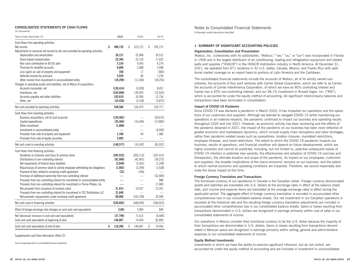### **CONSOLIDATED STATEMENTS OF CASH FLOWS**

(In thousands)

| Years Ended December 31,                                                          | 2021       | 2020          | 2019          |
|-----------------------------------------------------------------------------------|------------|---------------|---------------|
| Cash flows from operating activities:                                             |            |               |               |
| \$<br>Net income                                                                  | 498,735    | \$<br>323,172 | \$<br>295,775 |
| Adjustments to reconcile net income to net cash provided by operating activities: |            |               |               |
| Depreciation and amortization                                                     | 28,127     | 25,908        | 24,512        |
| Share-based compensation                                                          | 25.365     | 22.129        | 17,032        |
| Non-cash contribution to 401(k) plan                                              | 5,154      | 4,543         | 4,274         |
| Provision for doubtful accounts                                                   | 6,888      | 2,688         | 3,948         |
| Loss (gain) on sale of property and equipment                                     | 350        | 17            | (585)         |
| Deferred income tax provision                                                     | 5,939      | 40            | 1,278         |
| Other income from investment in unconsolidated entity                             | (19, 299)  | (11, 264)     | (10, 256)     |
| Changes in operating assets and liabilities, net of effects of acquisitions:      |            |               |               |
| Accounts receivable, net                                                          | (130, 414) | (3, 559)      | 8,457         |
| Inventories, net                                                                  | (243,660)  | 139,929       | (15, 525)     |
| Accounts payable and other liabilities                                            | 182,819    | 33,936        | 12,734        |
| Other, net                                                                        | (10, 438)  | (3,160)       | (5,873)       |
| Net cash provided by operating activities                                         | 349,566    | 534,379       | 335,771       |
| Cash flows from investing activities:                                             |            |               |               |
| Business acquisitions, net of cash acquired                                       | (129, 462) |               | (59, 672)     |
| Capital expenditures                                                              | (25, 464)  | (16, 436)     | (17, 805)     |
| Other investment                                                                  | (1,000)    |               |               |
| Investment in unconsolidated entity                                               |            |               | (4,940)       |
| Proceeds from sale of property and equipment                                      | 1,356      | 94            | 1,380         |
| Proceeds from sale of equity securities                                           | 5,993      |               |               |
| Net cash used in investing activities                                             | (148, 577) | (16, 342)     | (81,037)      |
| Cash flows from financing activities:                                             |            |               |               |
| Dividends on Common and Class B common stock                                      | (294, 522) | (265, 713)    | (241, 412)    |
| Distributions to non-controlling interest                                         | (61, 980)  | (42, 401)     | (39, 272)     |
| Net repayments of finance lease liabilities                                       | (2,040)    | (1, 441)      | (1,240)       |
| Repurchases of common stock to satisfy employee withholding tax obligations       | (1,092)    | (2, 299)      | (1, 528)      |
| Payment of fees related to revolving credit agreement                             | (22)       | (196)         |               |
| Purchase of additional ownership from non-controlling interest                    |            |               | (32, 400)     |
| Proceeds from non-controlling interest for investment in unconsolidated entity    |            |               | 988           |
| Proceeds from non-controlling interest for investment in Peirce-Phelps, Inc.      |            |               | 17,000        |
| Net proceeds from issuances of common stock                                       | 21.014     | 19,257        | 13,341        |
| Proceeds from non-controlling interest for investment in TEC Distribution LLC     | 21,040     |               |               |
| Net proceeds (repayments) under revolving credit agreement                        | 89,000     | (155, 700)    | 20,500        |
| Net cash used in financing activities                                             | (228, 602) | (448, 493)    | (264, 023)    |
| Effect of foreign exchange rate changes on cash and cash equivalents              | (186)      | 2,069         | 849           |
| Net (decrease) increase in cash and cash equivalents                              | (27, 799)  | 71,613        | (8,440)       |
| Cash and cash equivalents at beginning of year                                    | 146,067    | 74,454        | 82,894        |
| \$<br>Cash and cash equivalents at end of year                                    | 118.268    | \$<br>146.067 | \$<br>74.454  |

Supplemental cash flow information (Note 22)

*See accompanying notes to consolidated financial statements.*

Notes to Consolidated Financial Statements (In thousands, except share and per share data)

### **1. SUMMARY OF SIGNIFICANT ACCOUNTING POLICIES**

### **Organization, Consolidation and Presentation**

Watsco, Inc. (collectively with its subsidiaries, "Watsco," "we," "us," or "our") was incorporated in Florida in 1956 and is the largest distributor of air conditioning, heating and refrigeration equipment and related parts and supplies ("HVAC/R") in the HVAC/R distribution industry in North America. At December 31, 2021, we operated from 671 locations in 42 U.S. states, Canada, Mexico, and Puerto Rico with additional market coverage on an export basis to portions of Latin America and the Caribbean.

The consolidated financial statements include the accounts of Watsco, all of its wholly owned subsidiaries, the accounts of four joint ventures with Carrier Global Corporation, which we refer to as Carrier, the accounts of Carrier InterAmerica Corporation, of which we have an 80% controlling interest and Carrier has a 20% non-controlling interest, and our 38.1% investment in Russell Sigler, Inc. ("RSI"), which is accounted for under the equity method of accounting. All significant intercompany balances and transactions have been eliminated in consolidation.

### **Impact of COVID-19 Pandemic**

Since COVID-19 was declared a pandemic in March 2020, it has impacted our operations and the operations of our customers and suppliers. Although we learned to navigate COVID-19 while maintaining our operations in all material respects, the pandemic continued to impact our business and operating results throughout 2020 and into 2021. However, as economic activity has been recovering and the effects of the pandemic lessened in 2021, the impact of the pandemic on our business has been more reflective of greater economic and marketplace dynamics, which include supply chain disruptions and labor shortages, rather than pandemic-related issues such as quarantines, location closures, mandated restrictions, employee illnesses, and travel restrictions. The extent to which the COVID-19 pandemic impacts our business, results of operations, and financial condition will depend on future developments, which are highly uncertain and cannot be predicted, including, but not limited to, potential subsequent waves of COVID-19 infection or potential new variants, the effectiveness and adoption of COVID-19 vaccines and therapeutics, the ultimate duration and scope of the pandemic, its impact on our employees, customers and suppliers, the broader implications of the macro-economic recovery on our business, and the extent to which normal economic and operating conditions are impacted. Therefore, we cannot reasonably estimate the future impact at this time.

### **Foreign Currency Translation and Transactions**

The functional currency of our operations in Canada is the Canadian dollar. Foreign currency denominated assets and liabilities are translated into U.S. dollars at the exchange rates in effect at the balance sheet date, and income and expense items are translated at the average exchange rates in effect during the applicable period. The aggregate effect of foreign currency translation is recorded in accumulated other comprehensive loss in our consolidated balance sheets. Our net investment in our Canadian operations is recorded at the historical rate and the resulting foreign currency translation adjustments are included in accumulated other comprehensive loss in our consolidated balance sheets. Gains or losses resulting from transactions denominated in U.S. dollars are recognized in earnings primarily within cost of sales in our consolidated statements of income.

Our operations in Mexico consider their functional currency to be the U.S. dollar because the majority of their transactions are denominated in U.S. dollars. Gains or losses resulting from transactions denominated in Mexican pesos are recognized in earnings primarily within selling, general and administrative expenses in our consolidated statements of income.

### **Equity Method Investments**

Investments in which we have the ability to exercise significant influence, but do not control, are accounted for under the equity method of accounting and are included in investment in unconsolidated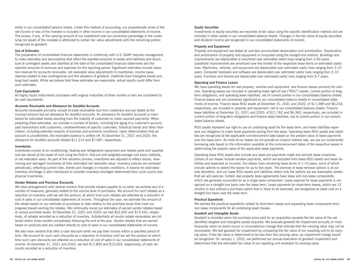entity in our consolidated balance sheets. Under this method of accounting, our proportionate share of the net income or loss of the investee is included in other income in our consolidated statements of income. The excess, if any, of the carrying amount of our investment over our ownership percentage in the underlying net assets of the investee is attributed to certain fair value adjustments with the remaining portion recognized as goodwill.

### **Use of Estimates**

The preparation of consolidated financial statements in conformity with U.S. GAAP requires management to make estimates and assumptions that affect the reported amounts of assets and liabilities and disclosure of contingent assets and liabilities at the date of the consolidated financial statements and the reported amounts of revenues and expenses for the reporting period. Significant estimates include valuation reserves for accounts receivable, net realizable value adjustments to inventories, income taxes, reserves related to loss contingencies and the valuation of goodwill, indefinite-lived intangible assets and long-lived assets. While we believe that these estimates are reasonable, actual results could differ from such estimates.

### **Cash Equivalents**

All highly liquid instruments purchased with original maturities of three months or less are considered to be cash equivalents.

### **Accounts Receivable and Allowance for Doubtful Accounts**

Accounts receivable primarily consist of trade receivables due from customers and are stated at the invoiced amount less an allowance for doubtful accounts. An allowance for doubtful accounts is maintained for estimated losses resulting from the inability of customers to make required payments. When preparing these estimates, we consider a number of factors, including the aging of a customer's account, past transactions with customers, creditworthiness of specific customers, historical trends and other information, including potential impacts of business and economic conditions. Upon determination that an account is uncollectible, the receivable balance is written off. At December 31, 2021 and 2020, the allowance for doubtful accounts totaled \$11,315 and \$7,087, respectively.

### **Inventories**

Inventories consist of air conditioning, heating and refrigeration equipment and related parts and supplies and are valued at the lower of cost using the first-in, first-out and weighted-average cost basis methods, or net realizable value. As part of the valuation process, inventories are adjusted to reflect excess, slowmoving and damaged inventories at their estimated net realizable value. Inventory policies are reviewed periodically, reflecting current risks, trends and changes in industry conditions. A reserve for estimated inventory shrinkage is also maintained to consider inventory shortages determined from cycle counts and physical inventories.

### **Vendor Rebates and Purchase Discounts**

We have arrangements with several vendors that provide rebates payable to us when we achieve any of a number of measures, generally related to the volume level of purchases. We account for such rebates as a reduction of inventory until we sell the product, at which time such rebates are reflected as a reduction of cost of sales in our consolidated statements of income. Throughout the year, we estimate the amount of the rebate based on our estimate of purchases to date relative to the purchase levels that mark our progress toward earning the rebates. We continually revise our estimates of earned vendor rebates based on actual purchase levels. At December 31, 2021 and 2020, we had \$22,692 and \$13,434, respectively, of rebates recorded as a reduction of inventory. Substantially all vendor rebate receivables are collected within three months immediately following the end of the year. Vendor rebates that are earned based on products sold are credited directly to cost of sales in our consolidated statements of income.

We also have vendors that offer a cash discount when we pay their invoice within a specified period of time. We account for such cash discounts as a reduction of inventory until we sell the product at which time such cash discounts are reflected as a reduction of cost of sales in our consolidated statements of income. At December 31, 2021 and 2020, we had \$17,893 and \$12,029, respectively, of cash discounts recorded as a reduction of inventory.

### **Equity Securities**

Investments in equity securities are recorded at fair value using the specific identification method and are included in other assets in our consolidated balance sheets. Changes in the fair value of equity securities and dividend income are recognized in our consolidated statements of income.

### **Property and Equipment**

Property and equipment are stated at cost less accumulated depreciation and amortization. Depreciation and amortization of property and equipment is computed using the straight-line method. Buildings and improvements are depreciated or amortized over estimated useful lives ranging from 3-40 years. Leasehold improvements are amortized over the shorter of the respective lease terms or estimated useful lives. Machinery, vehicles, and equipment are depreciated over estimated useful lives ranging from 3-10 years. Computer hardware and software are depreciated over estimated useful lives ranging from 3-10 years. Furniture and fixtures are depreciated over estimated useful lives ranging from 5-7 years.

### **Operating and Finance Leases**

We have operating leases for real property, vehicles and equipment, and finance leases primarily for vehicles. Operating leases are included in operating lease right-of-use ("ROU") assets, current portion of longterm obligations, and operating lease liabilities, net of current portion in our consolidated balance sheets. Finance leases are not considered significant to our consolidated balance sheets or consolidated statements of income. Finance lease ROU assets at December 31, 2021 and 2020, of \$11,489 and \$6,232, respectively, are included in property and equipment, net in our consolidated balance sheets. Finance lease liabilities at December 31, 2021 and 2020, of \$11,762 and \$6,383, respectively, are included in current portion of long-term obligations and finance lease liabilities, net of current portion in our consolidated balance sheets.

ROU assets represent our right to use an underlying asset for the lease term, and lease liabilities represent our obligation to make lease payments arising from the lease. Operating lease ROU assets and liabilities are recognized at the applicable commencement date based on the present value of lease payments over the lease term. As most of our leases do not provide an implicit interest rate, we use our incremental borrowing rate based on the information available at the commencement dates of the respective leases in determining the present value of the applicable lease payments.

Operating lease ROU assets also include any lease pre-payments made and exclude lease incentives. Certain of our leases include variable payments, which are excluded from lease ROU assets and lease liabilities and expensed as incurred. Our leases have remaining lease terms of 1-10 years, some of which include options to extend the leases for up to five years. The exercise of lease renewal options is at our sole discretion, and our lease ROU assets and liabilities reflect only the options we are reasonably certain that we will exercise. Certain real property lease agreements have lease and non-lease components, which are generally accounted for as a single lease component. Lease expense for lease payments is recognized on a straight-line basis over the lease term. Lease payments for short-term leases, which are 12 months or less without a purchase option that is likely to be exercised, are recognized as lease cost on a straight-line basis over the lease term.

### *Practical Expedients*

We elected the practical expedients related to short-term leases and separating lease components from non-lease components for all underlying asset classes.

### **Goodwill and Intangible Assets**

Goodwill is recorded when the purchase price paid for an acquisition exceeds the fair value of the net identified tangible and intangible assets acquired. We evaluate goodwill for impairment annually or more frequently when an event occurs or circumstances change that indicate that the carrying value may not be recoverable. We test goodwill for impairment by comparing the fair value of our reporting unit to its carrying value. If the fair value is determined to be less than the carrying value, an impairment charge would be recognized. On January 1, 2022, we performed our annual evaluation of goodwill impairment and determined that the estimated fair value of our reporting unit exceeded its carrying value.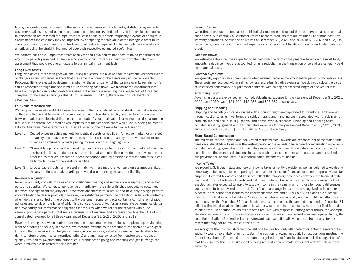Intangible assets primarily consist of the value of trade names and trademarks, distributor agreements, customer relationships and patented and unpatented technology. Indefinite lived intangibles not subject to amortization are assessed for impairment at least annually, or more frequently if events or changes in circumstances indicate they may be impaired, by comparing the fair value of the intangible asset to its carrying amount to determine if a write-down to fair value is required. Finite lived intangible assets are amortized using the straight-line method over their respective estimated useful lives.

We perform our annual impairment tests each year and have determined there to be no impairment for any of the periods presented. There were no events or circumstances identified from the date of our assessment that would require an update to our annual impairment tests.

### **Long-Lived Assets**

Long-lived assets, other than goodwill and intangible assets, are reviewed for impairment whenever events or changes in circumstances indicate that the carrying amount of the assets may not be recoverable. Recoverability is evaluated by determining whether the amortization of the balance over its remaining life can be recovered through undiscounted future operating cash flows. We measure the impairment loss based on projected discounted cash flows using a discount rate reflecting the average cost of funds and compared to the asset's carrying value. As of December 31, 2021, there were no such events or circumstances.

### **Fair Value Measurements**

We carry various assets and liabilities at fair value in the consolidated balance sheets. Fair value is defined as the price that would be received for an asset or paid to transfer a liability in an orderly transaction between market participants at the measurement date. As such, fair value is a market-based measurement that should be determined based on assumptions that market participants would use in pricing an asset or liability. Fair value measurements are classified based on the following fair value hierarchy:

- Level 1 Quoted prices in active markets for identical assets or liabilities. An active market for an asset or liability is a market in which transactions for the asset or liability occur with sufficient frequency and volume to provide pricing information on an ongoing basis.
- Level 2 Observable inputs other than Level 1 prices such as quoted prices in active markets for similar assets or liabilities; quoted prices in markets that are not active; or model-driven valuations or other inputs that are observable or can be corroborated by observable market data for substantially the full term of the assets or liabilities.
- Level 3 Unobservable inputs for the asset or liability. These inputs reflect our own assumptions about the assumptions a market participant would use in pricing the asset or liability.

### **Revenue Recognition**

Revenue primarily consists of sales of air conditioning, heating and refrigeration equipment, and related parts and supplies. We generate our revenue primarily from the sale of finished products to customers; therefore, the significant majority of our contracts are short-term in nature and have only a single performance obligation to deliver products; therefore, we satisfy our performance obligation under such contracts when we transfer control of the product to the customer. Some contracts contain a combination of product sales and services, the latter of which is distinct and accounted for as a separate performance obligation. We satisfy our performance obligations for services when we render the services within the agreed-upon service period. Total service revenue is not material and accounted for less than 1% of our consolidated revenues for all three years ended December 31, 2021, 2020 and 2019.

Revenue is recognized when control transfers to our customers when products are picked up or via shipment of products or delivery of services. We measure revenue as the amount of consideration we expect to be entitled to receive in exchange for those goods or services, net of any variable considerations (e.g., rights to return product, sales incentives, others) and any taxes collected from customers and subsequently remitted to governmental authorities. Revenue for shipping and handling charges is recognized when products are delivered to the customer.

### *Product Returns*

We estimate product returns based on historical experience and record them on a gross basis on our balance sheets. Substantially all customer returns relate to products that are returned under manufacturers' warranty obligations. Accrued sales returns at December 31, 2021 and 2020 of \$16,707 and \$12,739, respectively, were included in accrued expenses and other current liabilities in our consolidated balance sheets.

### *Sales Incentives*

We estimate sales incentives expected to be paid over the term of the program based on the most likely amounts. Sales incentives are accounted for as a reduction in the transaction price and are generally paid on an annual basis.

### *Practical Expedients*

We generally expense sales commissions when incurred because the amortization period is one year or less. These costs are recorded within selling, general and administrative expenses. We do not disclose the value of unsatisfied performance obligations for contracts with an original expected length of one year or less.

### **Advertising Costs**

Advertising costs are expensed as incurred. Advertising expense for the years ended December 31, 2021, 2020, and 2019, were \$21,552, \$12,588, and \$16,587, respectively.

### **Shipping and Handling**

Shipping and handling costs associated with inbound freight are capitalized to inventories and relieved through cost of sales as inventories are sold. Shipping and handling costs associated with the delivery of products are included in selling, general and administrative expenses. Shipping and handling costs included in selling, general and administrative expenses for the years ended December 31, 2021, 2020, and 2019, were \$70,453, \$55,019, and \$54,783, respectively.

### **Share-Based Compensation**

The fair value of stock option and non-vested restricted stock awards are expensed net of estimated forfeitures on a straight-line basis over the vesting period of the awards. Share-based compensation expense is included in selling, general and administrative expenses in our consolidated statements of income. Tax benefits resulting from tax deductions in excess of share-based compensation expense are recognized in our provision for income taxes in our consolidated statements of income.

### **Income Taxes**

We record U.S. federal, state and foreign income taxes currently payable, as well as deferred taxes due to temporary differences between reporting income and expenses for financial statement purposes versus tax purposes. Deferred tax assets and liabilities reflect the temporary differences between the financial statement and income tax basis of assets and liabilities. Deferred tax assets and liabilities are measured using enacted tax rates expected to apply to taxable income in the years in which those temporary differences are expected to be recovered or settled. The effect of a change in tax rates is recognized as income or expense in the period that includes the enactment date. We and our eligible subsidiaries file a consolidated U.S. federal income tax return. As income tax returns are generally not filed until well after the closing process for the December 31 financial statements is complete, the amounts recorded at December 31 reflect estimates of what the final amounts will be when the actual income tax returns are filed for that calendar year. In addition, estimates are often required with respect to, among other things, the appropriate state income tax rates to use in the various states that we and our subsidiaries are required to file, the potential utilization of operating loss carryforwards and valuation allowances required, if any, for tax assets that may not be realizable in the future.

We recognize the financial statement benefit of a tax position only after determining that the relevant tax authority would more likely than not sustain the position following an audit. For tax positions meeting the "more-likely-than-not" threshold, the amount recognized in the financial statements is the largest benefit that has a greater than 50% likelihood of being realized upon ultimate settlement with the relevant tax authority.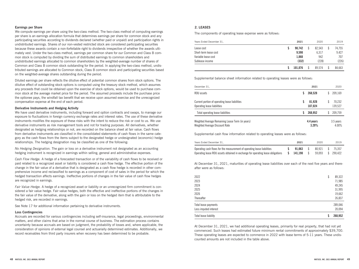### **Earnings per Share**

We compute earnings per share using the two-class method. The two-class method of computing earnings per share is an earnings allocation formula that determines earnings per share for common stock and any participating securities according to dividends declared (whether paid or unpaid) and participation rights in undistributed earnings. Shares of our non-vested restricted stock are considered participating securities because these awards contain a non-forfeitable right to dividends irrespective of whether the awards ultimately vest. Under the two-class method, earnings per common share for our Common and Class B common stock is computed by dividing the sum of distributed earnings to common shareholders and undistributed earnings allocated to common shareholders by the weighted-average number of shares of Common and Class B common stock outstanding for the period. In applying the two-class method, undistributed earnings are allocated to Common stock, Class B common stock and participating securities based on the weighted-average shares outstanding during the period.

Diluted earnings per share reflects the dilutive effect of potential common shares from stock options. The dilutive effect of outstanding stock options is computed using the treasury stock method, which assumes any proceeds that could be obtained upon the exercise of stock options, would be used to purchase common stock at the average market price for the period. The assumed proceeds include the purchase price the optionee pays, the windfall tax benefit that we receive upon assumed exercise and the unrecognized compensation expense at the end of each period.

### **Derivative Instruments and Hedging Activity**

We have used derivative instruments, including forward and option contracts and swaps, to manage our exposure to fluctuations in foreign currency exchange rates and interest rates. The use of these derivative instruments modifies the exposure of these risks with the intent to reduce the risk or cost to us. We use derivative instruments as risk management tools and not for trading purposes. All derivatives, whether designated as hedging relationships or not, are recorded on the balance sheet at fair value. Cash flows from derivative instruments are classified in the consolidated statements of cash flows in the same category as the cash flows from the items subject to the designated hedge or undesignated (economic) hedge relationships. The hedging designation may be classified as one of the following:

*No Hedging Designation.* The gain or loss on a derivative instrument not designated as an accounting hedging instrument is recognized in earnings within selling, general and administrative expenses.

*Cash Flow Hedge.* A hedge of a forecasted transaction or of the variability of cash flows to be received or paid related to a recognized asset or liability is considered a cash flow hedge. The effective portion of the change in the fair value of a derivative that is designated as a cash flow hedge is recorded in other comprehensive income and reclassified to earnings as a component of cost of sales in the period for which the hedged transaction affects earnings. Ineffective portions of changes in the fair value of cash flow hedges are recognized in earnings.

*Fair Value Hedge.* A hedge of a recognized asset or liability or an unrecognized firm commitment is considered a fair value hedge. Fair value hedges, both the effective and ineffective portions of the changes in the fair value of the derivative, along with the gain or loss on the hedged item that is attributable to the hedged risk, are recorded in earnings.

See Note 17 for additional information pertaining to derivative instruments.

### **Loss Contingencies**

Accruals are recorded for various contingencies including self-insurance, legal proceedings, environmental matters, and other claims that arise in the normal course of business. The estimation process contains uncertainty because accruals are based on judgment, the probability of losses and, where applicable, the consideration of opinions of external legal counsel and actuarially determined estimates. Additionally, we record receivables from third party insurers when recovery has been determined to be probable.

### **2. LEASES**

The components of operating lease expense were as follows:

| Years Ended December 31, | 2021    | 2020   | 2019   |
|--------------------------|---------|--------|--------|
| Lease cost               | 90.742  | 82.543 | 74.755 |
| Short-term lease cost    | 9.598   | 6,317  | 9,427  |
| Variable lease cost      | 1.868   | 942    | 707    |
| Sublease income          | (332)   | (228)  | (226)  |
|                          | 101.876 | 89.574 | 84.663 |

Supplemental balance sheet information related to operating leases were as follows:

| December 31,                                                                       | 2021               | 2020                    |
|------------------------------------------------------------------------------------|--------------------|-------------------------|
| ROU assets                                                                         | 268.528<br>S       | 209.169<br>S            |
| Current portion of operating lease liabilities<br>Operating lease liabilities      | 81.928<br>187.024  | 70.232<br>S.<br>139,527 |
| <b>Total operating lease liabilities</b>                                           | 268.952            | 209.759<br>\$           |
| Weighted Average Remaining Lease Term (in years)<br>Weighted Average Discount Rate | 4.4 years<br>3.29% | 3.5 years<br>4.00%      |

Supplemental cash flow information related to operating leases were as follows:

| Years Ended December 31.                                                        | 2021    | 2020   |              | 2019    |
|---------------------------------------------------------------------------------|---------|--------|--------------|---------|
| Operating cash flows for the measurement of operating lease liabilities         | 91.063  | 80.921 | $\mathbb{S}$ | 75.357  |
| Operating lease ROU assets obtained in exchange for operating lease obligations | 141.198 | 59.093 | $\mathbb{S}$ | 290.422 |

At December 31, 2021, maturities of operating lease liabilities over each of the next five years and thereafter were as follows:

| <b>Total lease liability</b> | 268,952      |
|------------------------------|--------------|
| Less imputed interest        | 20,094       |
| Total lease payments         | 289,046      |
| Thereafter                   | 26,837       |
| 2026                         | 19,662       |
| 2025                         | 31,995       |
| 2024                         | 49,245       |
| 2023                         | 71,985       |
| 2022                         | \$<br>89,322 |
|                              |              |

At December 31, 2021, we had additional operating leases, primarily for real property, that had not yet commenced. Such leases had estimated future minimum rental commitments of approximately \$39,700. These operating leases are expected to commence in 2022 with lease terms of 5-11 years. These undiscounted amounts are not included in the table above.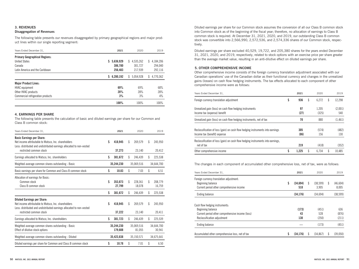### **3. REVENUES Disaggregation of Revenues**

The following table presents our revenues disaggregated by primary geographical regions and major product lines within our single reporting segment:

| Years Ended December 31,             | 2021            | 2020            | 2019            |
|--------------------------------------|-----------------|-----------------|-----------------|
| <b>Primary Geographical Regions:</b> |                 |                 |                 |
| <b>United States</b>                 | 5.636.929<br>s  | 4.535.262<br>S. | 4.184.206<br>S. |
| Canada                               | 386.780         | 301.727         | 294.040         |
| Latin America and the Caribbean      | 256.483         | 217.939         | 292.116         |
|                                      | 6,280,192<br>S. | 5.054.928<br>\$ | 4,770,362<br>\$ |
| <b>Major Product Lines:</b>          |                 |                 |                 |
| <b>HVAC</b> equipment                | 69%             | 69%             | 68%             |
| Other HVAC products                  | 28%             | 28%             | 28%             |
| Commercial refrigeration products    | 3%              | 3%              | 4%              |
|                                      | 100%            | 100%            | 100%            |

### **4. EARNINGS PER SHARE**

The following table presents the calculation of basic and diluted earnings per share for our Common and Class B common stock:

| Years Ended December 31,                                                                                                                                                                      | 2021                    | 2020                    | 2019                    |
|-----------------------------------------------------------------------------------------------------------------------------------------------------------------------------------------------|-------------------------|-------------------------|-------------------------|
| <b>Basic Earnings per Share:</b><br>Net income attributable to Watsco, Inc. shareholders<br>Less: distributed and undistributed earnings allocated to non-vested<br>restricted common stock   | \$<br>418.945<br>37,273 | \$<br>269.579<br>23,140 | \$<br>245.950<br>20,412 |
| Earnings allocated to Watsco, Inc. shareholders                                                                                                                                               | \$<br>381,672           | \$<br>246,439           | \$<br>225,538           |
| Weighted-average common shares outstanding - Basic                                                                                                                                            | 35,244,230              | 35,069,516              | 34.644.700              |
| Basic earnings per share for Common and Class B common stock                                                                                                                                  | \$<br>10.83             | \$<br>7.03              | \$<br>6.51              |
| Allocation of earnings for Basic:<br>Common stock<br>Class B common stock                                                                                                                     | \$<br>353.873<br>27,799 | \$<br>228.361<br>18,078 | \$<br>208,779<br>16,759 |
|                                                                                                                                                                                               | \$<br>381.672           | \$<br>246.439           | \$<br>225,538           |
| <b>Diluted Earnings per Share:</b><br>Net income attributable to Watsco, Inc. shareholders<br>Less: distributed and undistributed earnings allocated to non-vested<br>restricted common stock | \$<br>418.945<br>37,222 | \$<br>269.579<br>23,140 | \$<br>245,950<br>20,411 |
| Earnings allocated to Watsco, Inc. shareholders                                                                                                                                               | \$<br>381,723           | \$<br>246,439           | \$<br>225,539           |
| Weighted-average common shares outstanding - Basic<br>Effect of dilutive stock options                                                                                                        | 35,244,230<br>179.608   | 35,069,516<br>81,055    | 34,644,700<br>30,941    |
| Weighted-average common shares outstanding - Diluted                                                                                                                                          | 35,423,838              | 35,150,571              | 34,675,641              |
| Diluted earnings per share for Common and Class B common stock                                                                                                                                | \$<br>10.78             | \$<br>7.01              | \$<br>6.50              |

Diluted earnings per share for our Common stock assumes the conversion of all our Class B common stock into Common stock as of the beginning of the fiscal year; therefore, no allocation of earnings to Class B common stock is required. At December 31, 2021, 2020, and 2019, our outstanding Class B common stock was convertible into 2,566,990, 2,572,536, and 2,574,336 shares of our Common stock, respectively.

Diluted earnings per share excluded 40,529, 19,722, and 205,380 shares for the years ended December 31, 2021, 2020, and 2019, respectively, related to stock options with an exercise price per share greater than the average market value, resulting in an anti-dilutive effect on diluted earnings per share.

### **5. OTHER COMPREHENSIVE INCOME**

Other comprehensive income consists of the foreign currency translation adjustment associated with our Canadian operations' use of the Canadian dollar as their functional currency and changes in the unrealized gains (losses) on cash flow hedging instruments. The tax effects allocated to each component of other comprehensive income were as follows:

| Years Ended December 31,                                                                                       |   | 2021        |    | 2020           |   | 2019           |
|----------------------------------------------------------------------------------------------------------------|---|-------------|----|----------------|---|----------------|
| Foreign currency translation adjustment                                                                        | S | 936         | \$ | 6.272          | S | 12,298         |
| Unrealized gain (loss) on cash flow hedging instruments<br>Income tax (expense) benefit                        |   | 97<br>(27)  |    | 1.205<br>(325) |   | (2.001)<br>540 |
| Unrealized gain (loss) on cash flow hedging instruments, net of tax                                            |   | 70          |    | 880            |   | (1,461)        |
| Reclassification of loss (gain) on cash flow hedging instruments into earnings<br>Income tax (benefit) expense |   | 305<br>(86) |    | (574)<br>156   |   | (482)<br>130   |
| Reclassification of loss (gain) on cash flow hedging instruments into earnings,<br>net of tax                  |   | 219         |    | (418)          |   | (352)          |
| Other comprehensive income                                                                                     |   | 1.225       | P  | 6.734          |   | 10.485         |

The changes in each component of accumulated other comprehensive loss, net of tax, were as follows:

| Years Ended December 31,                         |   | 2021      |   | 2020     |   | 2019      |
|--------------------------------------------------|---|-----------|---|----------|---|-----------|
| Foreign currency translation adjustment:         |   |           |   |          |   |           |
| Beginning balance                                | S | (34.694)  | S | (38.599) | S | (46, 604) |
| Current period other comprehensive income        |   | 518       |   | 3.905    |   | 8,005     |
| Ending balance                                   |   | (34, 176) |   | (34.694) |   | (38,599)  |
| Cash flow hedging instruments:                   |   |           |   |          |   |           |
| Beginning balance                                |   | (173)     |   | (451)    |   | 636       |
| Current period other comprehensive income (loss) |   | 43        |   | 528      |   | (876)     |
| Reclassification adjustment                      |   | 130       |   | (250)    |   | (211)     |
| Ending balance                                   |   |           |   | (173)    |   | (451)     |
| Accumulated other comprehensive loss, net of tax |   | (34.176)  |   | (34.867) |   | (39.050)  |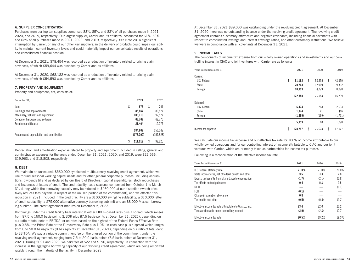### **6. SUPPLIER CONCENTRATION**

Purchases from our top ten suppliers comprised 83%, 85%, and 83% of all purchases made in 2021, 2020, and 2019, respectively. Our largest supplier, Carrier and its affiliates, accounted for 61%, 63%, and 62% of all purchases made in 2021, 2020, and 2019, respectively. See Note 20. A significant interruption by Carrier, or any of our other key suppliers, in the delivery of products could impair our ability to maintain current inventory levels and could materially impact our consolidated results of operations and consolidated financial position.

At December 31, 2021, \$78,454 was recorded as a reduction of inventory related to pricing claim advances, of which \$59,644 was provided by Carrier and its affiliates.

At December 31, 2020, \$68,182 was recorded as a reduction of inventory related to pricing claim advances, of which \$54,593 was provided by Carrier and its affiliates.

### **7. PROPERTY AND EQUIPMENT**

Property and equipment, net, consists of:

| December 31,                              | 2021      | 2020       |
|-------------------------------------------|-----------|------------|
| Land                                      | 676<br>\$ | \$<br>741  |
| <b>Buildings and improvements</b>         | 85.857    | 80,877     |
| Machinery, vehicles and equipment         | 108,110   | 92,577     |
| Computer hardware and software            | 68,762    | 62,776     |
| Furniture and fixtures                    | 21.404    | 19,077     |
|                                           | 284.809   | 256.048    |
| Accumulated depreciation and amortization | (173,790) | (157, 823) |
|                                           | 111.019   | 98,225     |

Depreciation and amortization expense related to property and equipment included in selling, general and administrative expenses for the years ended December 31, 2021, 2020, and 2019, were \$22,566, \$19,963, and \$18,808, respectively.

### **8. DEBT**

We maintain an unsecured, \$560,000 syndicated multicurrency revolving credit agreement, which we use to fund seasonal working capital needs and for other general corporate purposes, including acquisitions, dividends (if and as declared by our Board of Directors), capital expenditures, stock repurchases and issuances of letters of credit. The credit facility has a seasonal component from October 1 to March 31, during which the borrowing capacity may be reduced to \$460,000 at our discretion (which effectively reduces fees payable in respect of the unused portion of the commitment), and we effected this reduction in 2021. Included in the credit facility are a \$100,000 swingline subfacility, a \$10,000 letter of credit subfacility, a \$75,000 alternative currency borrowing sublimit and an \$8,000 Mexican borrowing sublimit. The credit agreement matures on December 5, 2023.

Borrowings under the credit facility bear interest at either LIBOR-based rates plus a spread, which ranges from 87.5 to 150.0 basis-points (LIBOR plus 87.5 basis-points at December 31, 2021), depending on our ratio of total debt to EBITDA, or on rates based on the highest of the Federal Funds Effective Rate plus 0.5%, the Prime Rate or the Eurocurrency Rate plus 1.0%, in each case plus a spread which ranges from 0 to 50.0 basis-points (0 basis-points at December 31, 2021), depending on our ratio of total debt to EBITDA. We pay a variable commitment fee on the unused portion of the commitment under the revolving credit agreement, ranging from 7.5 to 20.0 basis-points (7.5 basis-points at December 31, 2021). During 2021 and 2020, we paid fees of \$22 and \$196, respectively, in connection with the increase in the aggregate borrowing capacity of our revolving credit agreement, which are being amortized ratably through the maturity of the facility in December 2023.

At December 31, 2021 \$89,000 was outstanding under the revolving credit agreement. At December 31, 2020 there was no outstanding balance under the revolving credit agreement. The revolving credit agreement contains customary affirmative and negative covenants, including financial covenants with respect to consolidated leverage and interest coverage ratios, and other customary restrictions. We believe we were in compliance with all covenants at December 31, 2021.

### **9. INCOME TAXES**

The components of income tax expense from our wholly owned operations and investments and our controlling interest in CIAC and joint ventures with Carrier are as follows:

| Years Ended December 31, | 2021          | 2020         | 2019         |
|--------------------------|---------------|--------------|--------------|
| Current:                 |               |              |              |
| U.S. Federal             | \$<br>91,162  | \$<br>58,895 | \$<br>48,359 |
| <b>State</b>             | 20,703        | 12,909       | 9,362        |
| Foreign                  | 10,993        | 4,779        | 8,078        |
|                          | 122,858       | 76,583       | 65,799       |
| Deferred:                |               |              |              |
| U.S. Federal             | 6,434         | 218          | 2,603        |
| <b>State</b>             | 1,374         | 21           | 446          |
| Foreign                  | (1,869)       | (199)        | (1,771)      |
|                          | 5,939         | 40           | 1,278        |
| Income tax expense       | \$<br>128,797 | \$<br>76,623 | \$<br>67,077 |

We calculate our income tax expense and our effective tax rate for 100% of income attributable to our wholly owned operations and for our controlling interest of income attributable to CIAC and our joint ventures with Carrier, which are primarily taxed as partnerships for income tax purposes.

Following is a reconciliation of the effective income tax rate:

| Years Ended December 31.                               | 2021  | 2020  | 2019  |
|--------------------------------------------------------|-------|-------|-------|
| U.S. federal statutory rate                            | 21.0% | 21.0% | 21.0% |
| State income taxes, net of federal benefit and other   | 3.5   | 3.3   | 2.8   |
| Excess tax benefits from share-based compensation      | (1.7) | (2.1) | (1.8) |
| Tax effects on foreign income                          | 0.4   | 0.3   | 0.5   |
| GILTI                                                  |       |       | (0.1) |
| FDII                                                   | (0.1) |       |       |
| Change in valuation allowance                          | 0.8   |       |       |
| Tax credits and other                                  | (0.5) | (0.5) | (1.2) |
| Effective income tax rate attributable to Watsco, Inc. | 23.4  | 22.0  | 21.2  |
| Taxes attributable to non-controlling interest         | (2.9) | (2.8) | (2.7) |
| Effective income tax rate                              | 20.5% | 19.2% | 18.5% |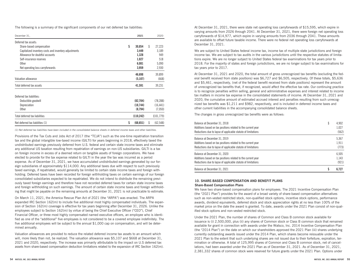The following is a summary of the significant components of our net deferred tax liabilities:

| December 31,                                          | 2021            | 2020            |
|-------------------------------------------------------|-----------------|-----------------|
| Deferred tax assets:                                  |                 |                 |
| Share-based compensation                              | \$<br>30,854    | \$<br>27,223    |
| Capitalized inventory costs and inventory adjustments | 3,449           | 3,189           |
| Allowance for doubtful accounts                       | 1,328           | 949             |
| Self-insurance reserves                               | 1,027           | 518             |
| <b>Other</b>                                          | 6,081           | 5,090           |
| Net operating loss carryforwards                      | 3,959           | 2,930           |
|                                                       | 46,698          | 39,899          |
| Valuation allowance                                   | (5, 107)        | (668)           |
| Total deferred tax assets                             | 41,591          | 39,231          |
| Deferred tax liabilities:                             |                 |                 |
| Deductible goodwill                                   | (82, 704)       | (78, 288)       |
| Depreciation                                          | (18, 744)       | (16, 441)       |
| <b>Other</b>                                          | (8, 794)        | (7,050)         |
| Total deferred tax liabilities                        | (110, 242)      | (101,779)       |
| Net deferred tax liabilities (1)                      | \$<br>(68, 651) | \$<br>(62, 548) |

(1) Net deferred tax liabilities have been included in the consolidated balance sheets in deferred income taxes and other liabilities.

Provisions of the Tax Cuts and Jobs Act of 2017 (the "TCJA") such as the one-time repatriation transition tax and the global intangible low-taxed income (GILTI) for years beginning in 2018, effectively taxed the undistributed earnings previously deferred from U.S. federal and certain state income taxes and eliminate any additional US taxation resulting from repatriation of earnings on non-US subsidiaries. GILTI is a tax on foreign income in excess of a deemed return on tangible assets of foreign corporations. We have elected to provide for the tax expense related to GILTI in the year the tax was incurred as a period expense. As of December 31, 2021, we have accumulated undistributed earnings generated by our foreign subsidiaries of approximately \$114,000. Any additional taxes due with respect to such previously taxed earnings, if repatriated, would generally be limited to certain state income taxes and foreign withholding. Deferred taxes have been recorded for foreign withholding taxes on certain earnings of our foreign consolidated subsidiaries expected to be repatriated. We do not intend to distribute the remaining previously taxed foreign earnings and therefore have not recorded deferred taxes for certain state income taxes and foreign withholding on such earnings. The amount of certain state income taxes and foreign withholding that might be payable on the remaining amounts at December 31, 2021 is not practicable to estimate.

On March 11, 2021, the America Rescue Plan Act of 2021 (the "ARPA") was enacted. The ARPA expanded IRC Section 162(m) to include five additional most highly compensated individuals. The expansion of Section 162(m) coverage is effective for tax years beginning after December 31, 2026. Unlike the employees subject to Section 162(m) by virtue of being the Chief Executive Officer ("CEO"), Chief Financial Officer, or three most highly compensated named executive officers, an employee who is identified as one of the "additional" five employees is not considered to be a covered employee indefinitely. The five additional employees will be subject to the annual \$1,000 cap on compensation, and will be determined annually.

Valuation allowances are provided to reduce the related deferred income tax assets to an amount which will, more likely than not, be realized. The valuation allowance was \$5,107 and \$668 at December 31, 2021 and 2020, respectively. The increase was primarily attributable to the impact on U.S deferred tax assets from share-based compensation deduction limitations related to the expansion of IRC Section 162(m). At December 31, 2021, there were state net operating loss carryforwards of \$15,595, which expire in varying amounts from 2026 through 2041. At December 31, 2021, there were foreign net operating loss carryforwards of \$14,977, which expire in varying amounts from 2036 through 2041. These amounts are available to offset future taxable income. There were no federal net operating loss carryforwards at December 31, 2021.

We are subject to United States federal income tax, income tax of multiple state jurisdictions and foreign income tax. We are subject to tax audits in the various jurisdictions until the respective statutes of limitations expire. We are no longer subject to United States federal tax examinations for tax years prior to 2018. For the majority of states and foreign jurisdictions, we are no longer subject to tax examinations for tax years prior to 2017.

At December 31, 2021 and 2020, the total amount of gross unrecognized tax benefits (excluding the federal benefit received from state positions) was \$6,727 and \$6,505, respectively. Of these totals, \$5,636 and \$5,461, respectively, (net of the federal benefit received from state positions) represent the amount of unrecognized tax benefits that, if recognized, would affect the effective tax rate. Our continuing practice is to recognize penalties within selling, general and administrative expenses and interest related to income tax matters in income tax expense in the consolidated statements of income. At December 31, 2021 and 2020, the cumulative amount of estimated accrued interest and penalties resulting from such unrecognized tax benefits was \$1,211 and \$982, respectively, and is included in deferred income taxes and other current liabilities in the accompanying consolidated balance sheets.

The changes in gross unrecognized tax benefits were as follows:

| Balance at December 31, 2018                                 | \$<br>4,902 |
|--------------------------------------------------------------|-------------|
| Additions based on tax positions related to the current year | 1.027       |
| Reductions due to lapse of applicable statute of limitations | (562)       |
| Balance at December 31, 2019                                 | 5,367       |
| Additions based on tax positions related to the current year | 1,911       |
| Reductions due to lapse of applicable statute of limitations | (773)       |
| Balance at December 31, 2020                                 | 6,505       |
| Additions based on tax positions related to the current year | 1.143       |
| Reductions due to lapse of applicable statute of limitations | (921)       |
| Balance at December 31, 2021                                 | 6.727       |

### **10. SHARE-BASED COMPENSATION AND BENEFIT PLANS Share-Based Compensation Plans**

We have two share-based compensation plans for employees. The 2021 Incentive Compensation Plan (the "2021 Plan") provides for the award of a broad variety of share-based compensation alternatives such as non-vested restricted stock, non-qualified stock options, incentive stock options, performance awards, dividend equivalents, deferred stock and stock appreciation rights at no less than 100% of the market price on the date the award is granted. To date, awards under the 2021 Plan consist of non-qualified stock options and non-vested restricted stock.

Under the 2021 Plan, the number of shares of Common and Class B common stock available for issuance is (i) 2,500,000, plus (ii) any shares of Common stock or Class B common stock that remained available for grant in connection with awards under the Watsco, Inc. 2014 Incentive Compensation Plan (the "2014 Plan") on the date on which our shareholders approved the 2021 Plan (iii) shares underlying currently outstanding awards issued under the 2014 Plan, which shares become reissuable under the 2021 Plan to the extent that such underlying shares are not issued due to their forfeiture, expiration, termination or otherwise. A total of 125,995 shares of Common and Class B common stock, net of cancellations, had been awarded under the 2021 Plan as of December 31, 2021. As of December 31, 2021, 2,381,332 shares of common stock were reserved for future grants under the 2021 Plan. Options under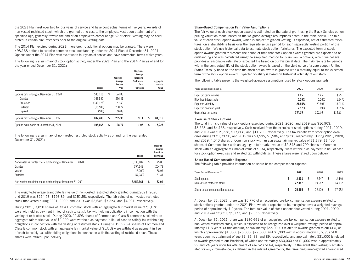the 2021 Plan vest over two to four years of service and have contractual terms of five years. Awards of non-vested restricted stock, which are granted at no cost to the employee, vest upon attainment of a specified age, generally toward the end of an employee's career at age 62 or older. Vesting may be accelerated in certain circumstances prior to the original vesting date.

The 2014 Plan expired during 2021; therefore, no additional options may be granted. There were 498,138 options to exercise common stock outstanding under the 2014 Plan at December 31, 2021. Options under the 2014 Plan vest over two to four years of service and have contractual terms of five years.

The following is a summary of stock option activity under the 2021 Plan and the 2014 Plan as of and for the year ended December 31, 2021:

|                                          | <b>Options</b> |    | Weighted-<br>Average<br><b>Exercise</b><br>Price | Weighted-<br>Average<br>Remaining<br>Contractual<br>Term<br>(in years) |    | Aggregate<br><b>Intrinsic</b><br>Value |
|------------------------------------------|----------------|----|--------------------------------------------------|------------------------------------------------------------------------|----|----------------------------------------|
| Options outstanding at December 31, 2020 | 585.116        | \$ | 174.83                                           |                                                                        |    |                                        |
| Granted                                  | 163.550        |    | 276.41                                           |                                                                        |    |                                        |
| Exercised                                | (130, 178)     |    | 157.50                                           |                                                                        |    |                                        |
| Forfeited                                | (15.500)       |    | 208.77                                           |                                                                        |    |                                        |
| Expired                                  | (500)          |    | 146.09                                           |                                                                        |    |                                        |
| Options outstanding at December 31, 2021 | 602.488        | S  | 205.30                                           | 3.11                                                                   | \$ | 64,816                                 |
| Options exercisable at December 31, 2021 | 105.665        | J  | 168.77                                           | 1.95                                                                   | S  | 15,227                                 |
|                                          |                |    |                                                  |                                                                        |    |                                        |

The following is a summary of non-vested restricted stock activity as of and for the year ended December 31, 2021:

|                                                              | <b>Shares</b> |   | Weighted-<br>Average<br><b>Grant Date</b><br><b>Fair Value</b> |
|--------------------------------------------------------------|---------------|---|----------------------------------------------------------------|
| Non-vested restricted stock outstanding at December 31, 2020 | 3,335,107     | P | 75.00                                                          |
| Granted                                                      | 194.643       |   | 254.73                                                         |
| Vested                                                       | (13,000)      |   | 138.97                                                         |
| Forfeited                                                    | (57,089)      |   | 131.31                                                         |
| Non-vested restricted stock outstanding at December 31, 2021 | 3,459,661     |   | 83.94                                                          |

The weighted-average grant date fair value of non-vested restricted stock granted during 2021, 2020, and 2019 was \$254.73, \$193.89, and \$151.58, respectively. The fair value of non-vested restricted stock that vested during 2021, 2020, and 2019 was \$3,646, \$7,354, and \$4,931, respectively.

During 2021, 3,858 shares of Class B common stock with an aggregate fair market value of \$1,078 were withheld as payment in lieu of cash to satisfy tax withholding obligations in connection with the vesting of restricted stock. During 2020, 11,693 shares of Common and Class B common stock with an aggregate fair market value of \$2,299 were withheld as payment in lieu of cash to satisfy tax withholding obligations in connection with the vesting of restricted stock. During 2019, 9,824 shares of Common and Class B common stock with an aggregate fair market value of \$1,518 were withheld as payment in lieu of cash to satisfy tax withholding obligations in connection with the vesting of restricted stock. These shares were retired upon delivery.

### **Share-Based Compensation Fair Value Assumptions**

The fair value of each stock option award is estimated on the date of grant using the Black-Scholes option pricing valuation model based on the weighted-average assumptions noted in the table below. The fair value of each stock option award, which is subject to graded vesting, is expensed, net of estimated forfeitures, on a straight-line basis over the requisite service period for each separately vesting portion of the stock option. We use historical data to estimate stock option forfeitures. The expected term of stock option awards granted represents the period of time that stock option awards granted are expected to be outstanding and was calculated using the simplified method for plain vanilla options, which we believe provides a reasonable estimate of expected life based on our historical data. The risk-free rate for periods within the contractual life of the stock option award is based on the yield curve of a zero-coupon United States Treasury bond on the date the stock option award is granted with a maturity equal to the expected term of the stock option award. Expected volatility is based on historical volatility of our stock.

The following table presents the weighted-average assumptions used for stock options granted:

| Years Ended December 31, | 2021    | 2020    | 2019    |
|--------------------------|---------|---------|---------|
| Expected term in years   | 4.25    | 4.25    | 4.25    |
| Risk-free interest rate  | 0.79%   | 0.26%   | 1.64%   |
| Expected volatility      | 21.85%  | 20.89%  | 18.01%  |
| Expected dividend yield  | 2.97%   | 3.69%   | 3.99%   |
| Grant date fair value    | \$34.79 | \$20.76 | \$14.81 |

### **Exercise of Stock Options**

The total intrinsic value of stock options exercised during 2021, 2020, and 2019 was \$16,903, \$8,753, and \$4,153, respectively. Cash received from the exercise of stock options during 2021, 2020, and 2019 was \$19,338, \$17,608, and \$11,703, respectively. The tax benefit from stock option exercises during 2021, 2020, and 2019 was \$3,595, \$1,586, and \$626, respectively. During 2021, 2020, and 2019, 4,040 shares of Common stock with an aggregate fair market value of \$1,179, 11,455 shares of Common stock with an aggregate fair market value of \$2,343 and 799 shares of Common stock with an aggregate fair market value of \$134, respectively, were withheld as payment in lieu of cash for stock option exercises and related tax withholdings. These shares were retired upon delivery.

### **Share-Based Compensation Expense**

The following table provides information on share-based compensation expense:

| Years Ended December 31,                     | 2021            | 2020            | 2019            |
|----------------------------------------------|-----------------|-----------------|-----------------|
| Stock options<br>Non-vested restricted stock | 2.908<br>22.457 | 2.447<br>19.682 | 2.440<br>14.592 |
| Share-based compensation expense             | 25.365          | 22.129          | 17.032          |

At December 31, 2021, there was \$5,770 of unrecognized pre-tax compensation expense related to stock options granted under the 2021 Plan, which is expected to be recognized over a weighted-average period of approximately 1.9 years. The total fair value of stock options that vested during 2021, 2020, and 2019 was \$2,621, \$2,177, and \$2,055, respectively.

At December 31, 2021, there was \$180,661 of unrecognized pre-tax compensation expense related to non-vested restricted stock, which is expected to be recognized over a weighted-average period of approximately 11.8 years. Of this amount, approximately \$55,000 is related to awards granted to our CEO, of which approximately \$1,000, \$26,000, \$27,000, and \$1,000 vest in approximately 1, 5, 7, and 8 years upon his attainment of age 82, 86, 88, and 89, respectively, and approximately \$31,000 is related to awards granted to our President, of which approximately \$30,000 and \$1,000 vest in approximately 22 and 24 years upon his attainment of age 62 and 64, respectively. In the event that vesting is accelerated for any circumstance, as defined in the related agreements, the remaining unrecognized share-based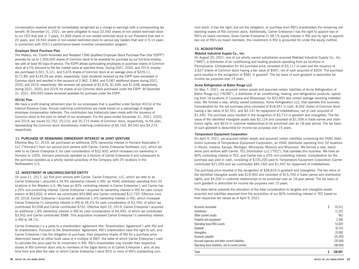compensation expense would be immediately recognized as a charge to earnings with a corresponding tax benefit. At December 31, 2021, we were obligated to issue 32,592 shares of non-vested restricted stock to our CEO that vest in 7 years, 31,668 shares of non-vested restricted stock to our President that vest in 22 years, and 18,540 shares of non-vested restricted stock to various key leaders that vest in 5-14 years in connection with 2021's performance-based incentive compensation program.

### **Employee Stock Purchase Plan**

The Watsco, Inc. Fourth Amended and Restated 1996 Qualified Employee Stock Purchase Plan (the "ESPP") provides for up to 1,500,000 shares of Common stock to be available for purchase by our full-time employees with at least 90 days of service. The ESPP allows participating employees to purchase shares of Common stock at a 5% discount to the fair market value at specified times. During 2021, 2020, and 2019, employees purchased 3,501, 5,121, and 5,676 shares of Common stock at an average price of \$239.11, \$171.89, and \$145.09 per share, respectively. Cash dividends received by the ESPP were reinvested in Common stock and resulted in the issuance of 2,962, 3,964, and 5,087 additional shares during 2021, 2020, and 2019, respectively. We received net proceeds of \$1,676, \$1,649, and \$1,638, respectively, during 2021, 2020, and 2019, for shares of our Common stock purchased under the ESPP. At December 31, 2021, 450,945 shares remained available for purchase under the ESPP.

### **401(k) Plan**

We have a profit sharing retirement plan for our employees that is qualified under Section 401(k) of the Internal Revenue Code. Annual matching contributions are made based on a percentage of eligible employee compensation deferrals. The contribution has historically been made with the issuance of Common stock to the plan on behalf of our employees. For the years ended December 31, 2021, 2020, and 2019, we issued 22,752, 25,216, and 30,715 shares of Common stock, respectively, to the plan, representing the Common stock discretionary matching contribution of \$5,154, \$4,543 and \$4,274, respectively.

### **11. PURCHASE OF REMAINING OWNERSHIP INTEREST IN JOINT VENTURE**

Effective May 31, 2019, we purchased an additional 20% ownership interest in Homans Associates II LLC ("Homans") from our second joint venture with Carrier, Carrier Enterprise Northeast, LLC, which we refer to as Carrier Enterprise II, for cash consideration of \$32,400, which increased our ownership in Homans to 100%. Homans previously operated as a division of Carrier Enterprise II and subsequent to the purchase operates as a wholly owned subsidiary of the Company with 25 locations in the Northeastern U.S.

### **12. INVESTMENT IN UNCONSOLIDATED ENTITY**

On June 21, 2017, our first joint venture with Carrier, Carrier Enterprise, LLC, which we refer to as Carrier Enterprise I, acquired a 34.9% ownership interest in RSI, an HVAC distributor operating from 34 locations in the Western U.S. We have an 80% controlling interest in Carrier Enterprise I, and Carrier has a 20% non-controlling interest. Carrier Enterprise I acquired its ownership interest in RSI for cash consideration of \$63,600, of which we contributed \$50,880 and Carrier contributed \$12,720. Effective June 29, 2018, Carrier Enterprise I acquired an additional 1.4% ownership interest in RSI, which increased Carrier Enterprise I's ownership interest in RSI to 36.3% for cash consideration of \$3,760, of which we contributed \$3,008 and Carrier contributed \$752. Effective April 22, 2019, Carrier Enterprise I acquired an additional 1.8% ownership interest in RSI for cash consideration of \$4,940, of which we contributed \$3,952 and Carrier contributed \$988. This acquisition increased Carrier Enterprise I's ownership interest in RSI to 38.1%.

Carrier Enterprise I is a party to a shareholders' agreement (the "Shareholders' Agreement") with RSI and its shareholders. Pursuant to the Shareholders' Agreement, RSI's shareholders have the right to sell, and Carrier Enterprise I has the obligation to purchase, their respective shares of RSI for a purchase price determined based on either book value or a multiple of EBIT, the latter of which Carrier Enterprise I used to calculate the price paid for its investment in RSI. RSI's shareholders may transfer their respective shares of RSI common stock only to members of the Sigler family or to Carrier Enterprise I, and, at any time from and after the date on which Carrier Enterprise I owns 85% or more of RSI's outstanding common stock, it has the right, but not the obligation, to purchase from RSI's shareholders the remaining outstanding shares of RSI common stock. Additionally, Carrier Enterprise I has the right to appoint two of RSI's six board members. Given Carrier Enterprise I's 38.1% equity interest in RSI and its right to appoint two out of RSI's six board members, this investment in RSI is accounted for under the equity method.

### **13. ACQUISITIONS**

### **Makdad Industrial Supply Co., Inc.**

On August 20, 2021, one of our wholly owned subsidiaries acquired Makdad Industrial Supply Co., Inc. ("MIS"), a distributor of air conditioning and heating products operating from six locations in Pennsylvania. Consideration for the purchase price consisted of \$3,117 in cash and the issuance of 3,627 shares of Common stock having a fair value of \$997, net of cash acquired of \$204. The purchase price resulted in the recognition of \$981 in goodwill. The tax basis of such goodwill is deductible for income tax purposes over 15 years.

### **Acme Refrigeration of Baton Rouge LLC**

On May 7, 2021, we acquired certain assets and assumed certain liabilities of Acme Refrigeration of Baton Rouge LLC ("ACME"), a distributor of air conditioning, heating, and refrigeration products, operating from 18 locations in Louisiana and Mississippi, for \$22,855 less certain average revolving indebtedness. We formed a new, wholly owned subsidiary, Acme Refrigeration LLC, that operates this business. Consideration for the net purchase price consisted of \$18,051 in cash, 8,492 shares of Common stock having a fair value of \$2,551, and \$3,141 for repayment of indebtedness, net of cash acquired of \$1,340. The purchase price resulted in the recognition of \$3,710 in goodwill and intangibles. The fair value of the identified intangible assets was \$2,124 and consisted of \$1,508 in trade names and distribution rights, and \$616 in customer relationships to be amortized over an 18-year period. The tax basis of such goodwill is deductible for income tax purposes over 15 years.

### **Temperature Equipment Corporation**

On April 9, 2021, we acquired certain assets and assumed certain liabilities comprising the HVAC distribution business of Temperature Equipment Corporation, an HVAC distributor operating from 32 locations in Illinois, Indiana, Kansas, Michigan, Minnesota, Missouri and Wisconsin. We formed a new, standalone joint venture with Carrier, TEC Distribution LLC ("TEC"), that operates this business. We have an 80% controlling interest in TEC, and Carrier has a 20% non-controlling interest. Consideration for the purchase was paid in cash, consisting of \$105,200 paid to Temperature Equipment Corporation (Carrier contributed \$21,040 and we contributed \$84,160) and \$1,497 for repayment of indebtedness.

The purchase price resulted in the recognition of \$38,624 in goodwill and intangibles. The fair value of the identified intangible assets was \$19,900 and consisted of \$15,700 in trade names and distribution rights, and \$4,200 in customer relationships to be amortized over an 18-year period. The tax basis of such goodwill is deductible for income tax purposes over 15 years.

The table below presents the allocation of the total consideration to tangible and intangible assets acquired and liabilities assumed from the acquisition of our 80% controlling interest in TEC based on their respective fair values as of April 9, 2021:

| Total                                               |   | 106.697   |
|-----------------------------------------------------|---|-----------|
| Operating lease liabilities, net of current portion |   | (48,046)  |
| Accrued expenses and other current liabilities      |   | (20, 509) |
| Accounts payable                                    |   | (25, 393) |
| Intangibles                                         |   | 19.900    |
| Goodwill                                            |   | 18,724    |
| Operating lease ROU assets                          |   | 53,829    |
| Property and equipment                              |   | 2.590     |
| Other current assets                                |   | 962       |
| Inventories                                         |   | 71,325    |
| Accounts receivable                                 | Φ | 33,315    |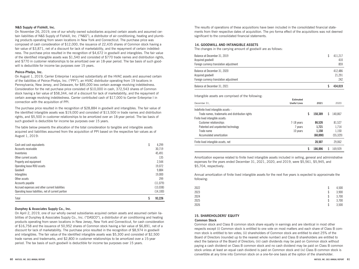### **N&S Supply of Fishkill, Inc.**

On November 26, 2019, one of our wholly owned subsidiaries acquired certain assets and assumed certain liabilities of N&S Supply of Fishkill, Inc. ("N&S"), a distributor of air conditioning, heating and plumbing products operating from seven locations in New York and Connecticut. The purchase price was composed of cash consideration of \$12,000, the issuance of 22,435 shares of Common stock having a fair value of \$3,871, net of a discount for lack of marketability, and the repayment of certain indebtedness. The purchase price resulted in the recognition of \$4,672 in goodwill and intangibles. The fair value of the identified intangible assets was \$1,540 and consisted of \$770 trade names and distribution rights, and \$770 in customer relationships to be amortized over an 18-year period. The tax basis of such goodwill is deductible for income tax purposes over 15 years.

### **Peirce-Phelps, Inc.**

On August 1, 2019, Carrier Enterprise I acquired substantially all the HVAC assets and assumed certain of the liabilities of Peirce-Phelps, Inc. ("PPI"), an HVAC distributor operating from 19 locations in Pennsylvania, New Jersey, and Delaware, for \$85,000 less certain average revolving indebtedness. Consideration for the net purchase price consisted of \$10,000 in cash, 372,543 shares of Common stock having a fair value of \$58,344, net of a discount for lack of marketability, and the repayment of certain average revolving indebtedness. Carrier contributed cash of \$17,000 to Carrier Enterprise I in connection with the acquisition of PPI.

The purchase price resulted in the recognition of \$28,884 in goodwill and intangibles. The fair value of the identified intangible assets was \$19,000 and consisted of \$13,500 in trade names and distribution rights, and \$5,500 in customer relationships to be amortized over an 18-year period. The tax basis of such goodwill is deductible for income tax purposes over 15 years.

The table below presents the allocation of the total consideration to tangible and intangible assets acquired and liabilities assumed from the acquisition of PPI based on the respective fair values as of August 1, 2019:

| Cash and cash equivalents                           | \$<br>4.299  |
|-----------------------------------------------------|--------------|
| Accounts receivable                                 | 30,719       |
| Inventories                                         | 45.491       |
| Other current assets                                | 135          |
| Property and equipment                              | 2,544        |
| Operating lease ROU assets                          | 19,072       |
| Goodwill                                            | 9.884        |
| Intangibles                                         | 19,000       |
| Other assets                                        | 299          |
| Accounts payable                                    | (11,079)     |
| Accrued expenses and other current liabilities      | (13,038)     |
| Operating lease liabilities, net of current portion | (14, 100)    |
| Total                                               | \$<br>93.226 |

### **Dunphey & Associates Supply Co., Inc.**

On April 2, 2019, one of our wholly owned subsidiaries acquired certain assets and assumed certain liabilities of Dunphey & Associates Supply Co., Inc. ("DASCO"), a distributor of air conditioning and heating products operating from seven locations in New Jersey, New York and Connecticut, for cash consideration of \$16,758 and the issuance of 50,952 shares of Common stock having a fair value of \$6,891, net of a discount for lack of marketability. The purchase price resulted in the recognition of \$8,974 in goodwill and intangibles. The fair value of the identified intangible assets was \$5,300 and consisted of \$2,500 trade names and trademarks, and \$2,800 in customer relationships to be amortized over a 15-year period. The tax basis of such goodwill is deductible for income tax purposes over 15 years.

The results of operations of these acquisitions have been included in the consolidated financial statements from their respective dates of acquisition. The pro forma effect of the acquisitions was not deemed significant to the consolidated financial statements.

### **14. GOODWILL AND INTANGIBLE ASSETS**

The changes in the carrying amount of goodwill are as follows:

| Balance at December 31, 2019<br>Acquired goodwill<br>Foreign currency translation adjustment | 411,217<br>410<br>859    |
|----------------------------------------------------------------------------------------------|--------------------------|
| Balance at December 31, 2020<br>Acquired goodwill<br>Foreign currency translation adjustment | 412.486<br>21.291<br>242 |
| Balance at December 31, 2021                                                                 | 434.019                  |

**Estimated**

Intangible assets are comprised of the following:

| December 31.                                    | LSUUGLEU<br><b>Useful Lives</b> |   | 2021     | 2020          |
|-------------------------------------------------|---------------------------------|---|----------|---------------|
| Indefinite lived intangible assets -            |                                 |   |          |               |
| Trade names, trademarks and distribution rights |                                 | S | 158.389  | \$<br>140,867 |
| Finite lived intangible assets:                 |                                 |   |          |               |
| <b>Customer relationships</b>                   | 7-18 years                      |   | 86,526   | 81,527        |
| Patented and unpatented technology              | 7 years                         |   | 1.721    | 1.714         |
| Trade name                                      | 10 years                        |   | 1.150    | 1.150         |
| Accumulated amortization                        |                                 |   | (60.890) | (55, 329)     |
| Finite lived intangible assets, net             |                                 |   | 28.507   | 29.062        |
|                                                 |                                 |   | 186.896  | 169.929       |

Amortization expense related to finite lived intangible assets included in selling, general and administrative expenses for the years ended December 31, 2021, 2020, and 2019, were \$5,561, \$5,945, and \$5,704, respectively.

Annual amortization of finite lived intangible assets for the next five years is expected to approximate the following:

| 2022 | \$<br>4,500 |
|------|-------------|
| 2023 | \$<br>3,900 |
| 2024 | \$<br>3,700 |
| 2025 | \$<br>3,700 |
| 2026 | \$<br>3,500 |

### **15. SHAREHOLDERS' EQUITY**

### **Common Stock**

Common stock and Class B common stock share equally in earnings and are identical in most other respects except (i) Common stock is entitled to one vote on most matters and each share of Class B common stock is entitled to ten votes; (ii) shareholders of Common stock are entitled to elect 25% of the Board of Directors (rounded up to the nearest whole number) and Class B shareholders are entitled to elect the balance of the Board of Directors; (iii) cash dividends may be paid on Common stock without paying a cash dividend on Class B common stock and no cash dividend may be paid on Class B common stock unless at least an equal cash dividend is paid on Common stock and (iv) Class B common stock is convertible at any time into Common stock on a one-for-one basis at the option of the shareholder.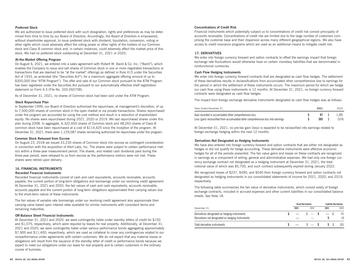### **Preferred Stock**

We are authorized to issue preferred stock with such designation, rights and preferences as may be determined from time to time by our Board of Directors. Accordingly, the Board of Directors is empowered, without shareholder approval, to issue preferred stock with dividend, liquidation, conversion, voting or other rights which could adversely affect the voting power or other rights of the holders of our Common stock and Class B common stock and, in certain instances, could adversely affect the market price of this stock. We had no preferred stock outstanding at December 31, 2021 or 2020.

### **At-the-Market Offering Program**

On August 6, 2021, we entered into a sales agreement with Robert W. Baird & Co. Inc. ("Baird"), which enables the Company to issue and sell shares of Common stock in one or more negotiated transactions or transactions that are deemed to be "at the market" offerings as defined in Rule 415 under the Securities Act of 1933, as amended (the "Securities Act"), for a maximum aggregate offering amount of up to \$300,000 (the "ATM Program"). The offer and sale of our Common stock pursuant to the ATM Program has been registered under the Securities Act pursuant to our automatically effective shelf registration statement on Form S-3 (File No. 333-260758).

As of December 31, 2021, no shares of Common stock had been sold under the ATM Program.

### **Stock Repurchase Plan**

In September 1999, our Board of Directors authorized the repurchase, at management's discretion, of up to 7,500,000 shares of common stock in the open market or via private transactions. Shares repurchased under the program are accounted for using the cost method and result in a reduction of shareholders' equity. No shares were repurchased during 2021, 2020 or 2019. We last repurchased shares under this plan during 2008. In aggregate, 6,322,650 shares of Common stock and 48,263 shares of Class B common stock have been repurchased at a cost of \$114,425 since the inception of the program. At December 31, 2021, there were 1,129,087 shares remaining authorized for repurchase under the program.

### **Common Stock Released from Escrow**

On August 23, 2018 we issued 23,230 shares of Common stock into escrow as contingent consideration in connection with the acquisition of Alert Labs, Inc. The shares were subject to certain performance metrics within a three-year measurement period. The shares, and related cash dividends paid during the three-year period, were released to us from escrow as the performance metrics were not met. These shares were retired upon delivery.

### **16. FINANCIAL INSTRUMENTS**

### **Recorded Financial Instruments**

Recorded financial instruments consist of cash and cash equivalents, accounts receivable, accounts payable, the current portion of long-term obligations and borrowings under our revolving credit agreement. At December 31, 2021 and 2020, the fair values of cash and cash equivalents, accounts receivable, accounts payable and the current portion of long-term obligations approximated their carrying values due to the short-term nature of these instruments.

The fair values of variable rate borrowings under our revolving credit agreement also approximate their carrying value based upon interest rates available for similar instruments with consistent terms and remaining maturities.

### **Off-Balance Sheet Financial Instruments**

At December 31, 2021 and 2020, we were contingently liable under standby letters of credit for \$150 and \$1,075, respectively, which were required by leases for real property. Additionally, at December 31, 2021 and 2020, we were contingently liable under various performance bonds aggregating approximately \$7,900 and \$11,400, respectively, which are used as collateral to cover any contingencies related to our nonperformance under agreements with certain customers. We do not expect that any material losses or obligations will result from the issuance of the standby letter of credit or performance bonds because we expect to meet our obligations under our lease for real property and to certain customers in the ordinary course of business.

Financial instruments which potentially subject us to concentrations of credit risk consist principally of accounts receivable. Concentrations of credit risk are limited due to the large number of customers comprising the customer base and their dispersion across many different geographical regions. We also have access to credit insurance programs which are used as an additional means to mitigate credit risk.

### **17. DERIVATIVES**

We enter into foreign currency forward and option contracts to offset the earnings impact that foreign exchange rate fluctuations would otherwise have on certain monetary liabilities that are denominated in nonfunctional currencies.

### **Cash Flow Hedging Instruments**

We enter into foreign currency forward contracts that are designated as cash flow hedges. The settlement of these derivatives results in reclassifications from accumulated other comprehensive loss to earnings for the period in which the settlement of these instruments occurs. The maximum period for which we hedge our cash flow using these instruments is 12 months. At December 31, 2021, no foreign currency forward contracts were designated as cash flow hedges.

The impact from foreign exchange derivative instruments designated as cash flow hedges was as follows:

| Years Ended December 31.                                                         | 2021 | 2020  |
|----------------------------------------------------------------------------------|------|-------|
| Gain recorded in accumulated other comprehensive loss                            | 97   | 1.205 |
| Loss (gain) reclassified from accumulated other comprehensive loss into earnings | 305  | (574) |

At December 31, 2021, no pre-tax gain (loss) is expected to be reclassified into earnings related to foreign exchange hedging within the next 12 months.

### **Derivatives Not Designated as Hedging Instruments**

We have also entered into foreign currency forward and option contracts that are either not designated as hedges or did not qualify for hedge accounting. These derivative instruments were effective economic hedges for all of the periods presented. The fair value gains and losses on these contracts are recognized in earnings as a component of selling, general and administrative expenses. We had only one foreign currency exchange contract not designated as a hedging instrument at December 31, 2021, the total notional value of which was \$5,700, and such contract subsequently expired during January 2022.

We recognized losses of \$237, \$490, and \$540 from foreign currency forward and option contracts not designated as hedging instruments in our consolidated statements of income for 2021, 2020, and 2019, respectively.

The following table summarizes the fair value of derivative instruments, which consist solely of foreign exchange contracts, included in accrued expenses and other current liabilities in our consolidated balance sheets. See Note 18.

|                                                   |  |      | <b>Asset Derivatives</b> | <b>Liability Derivatives</b> |      |
|---------------------------------------------------|--|------|--------------------------|------------------------------|------|
| December 31,                                      |  | 2021 | 2020                     | 2021                         | 2020 |
| Derivatives designated as hedging instruments     |  |      |                          |                              | 91   |
| Derivatives not designated as hedging instruments |  |      |                          |                              | 10   |
| Total derivative instruments                      |  |      | $-5$                     | 5 \$                         | 101  |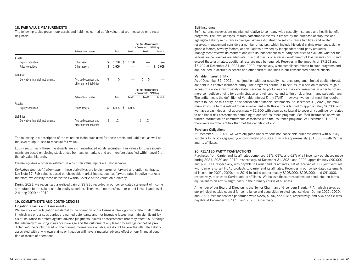### **18. FAIR VALUE MEASUREMENTS**

The following tables present our assets and liabilities carried at fair value that are measured on a recurring basis:

|                                  |                                                   |             |    |                                                              |    | <b>Fair Value Measurements</b><br>at December 31, 2021 Using |    |         |
|----------------------------------|---------------------------------------------------|-------------|----|--------------------------------------------------------------|----|--------------------------------------------------------------|----|---------|
|                                  | <b>Balance Sheet Location</b>                     | Total       |    | Level 1                                                      |    | Level <sub>2</sub>                                           |    | Level 3 |
| Assets:                          |                                                   |             |    |                                                              |    |                                                              |    |         |
| <b>Equity securities</b>         | Other assets                                      | \$<br>1,790 | S  | 1,790                                                        |    |                                                              |    |         |
| Private equities                 | Other assets                                      | \$<br>1,000 |    |                                                              |    |                                                              | \$ | 1,000   |
| Liabilities:                     |                                                   |             |    |                                                              |    |                                                              |    |         |
| Derivative financial instruments | Accrued expenses and<br>other current liabilities | \$<br>5     |    |                                                              | S  | 5                                                            |    |         |
|                                  |                                                   |             |    | <b>Fair Value Measurements</b><br>at December 31, 2020 Using |    |                                                              |    |         |
|                                  | <b>Balance Sheet Location</b>                     | Total       |    | Level 1                                                      |    | Level 2                                                      |    | Level 3 |
| Assets:                          |                                                   |             |    |                                                              |    |                                                              |    |         |
| Equity securities                | Other assets                                      | \$<br>6,065 | \$ | 6,065                                                        |    |                                                              |    |         |
| Liabilities:                     |                                                   |             |    |                                                              |    |                                                              |    |         |
| Derivative financial instruments | Accrued expenses and<br>other current liabilities | \$<br>101   |    |                                                              | \$ | 101                                                          |    |         |

The following is a description of the valuation techniques used for these assets and liabilities, as well as the level of input used to measure fair value:

*Equity securities* – these investments are exchange-traded equity securities. Fair values for these investments are based on closing stock prices from active markets and are therefore classified within Level 1 of the fair value hierarchy.

*Private equities* – other investment in which fair value inputs are unobservable.

*Derivative financial instruments* – these derivatives are foreign currency forward and option contracts. See Note 17. Fair value is based on observable market inputs, such as forward rates in active markets; therefore, we classify these derivatives within Level 2 of the valuation hierarchy.

During 2021, we recognized a realized gain of \$3,815 recorded in our consolidated statement of income attributable to the sale of certain equity securities. There were no transfers in or out of Level 1 and Level 2 during 2020 or 2019.

### **19. COMMITMENTS AND CONTINGENCIES**

### **Litigation, Claims and Assessments**

We are involved in litigation incidental to the operation of our business. We vigorously defend all matters in which we or our subsidiaries are named defendants and, for insurable losses, maintain significant levels of insurance to protect against adverse judgments, claims or assessments that may affect us. Although the adequacy of existing insurance coverage and the outcome of any legal proceedings cannot be predicted with certainty, based on the current information available, we do not believe the ultimate liability associated with any known claims or litigation will have a material adverse effect on our financial condition or results of operations.

### **Self-Insurance**

Self-insurance reserves are maintained relative to company-wide casualty insurance and health benefit programs. The level of exposure from catastrophic events is limited by the purchase of stop-loss and aggregate liability reinsurance coverage. When estimating the self-insurance liabilities and related reserves, management considers a number of factors, which include historical claims experience, demographic factors, severity factors, and valuations provided by independent third-party actuaries. Management reviews its assumptions with its independent third-party actuaries to evaluate whether the self-insurance reserves are adequate. If actual claims or adverse development of loss reserves occur and exceed these estimates, additional reserves may be required. Reserves in the amounts of \$7,253 and \$5,404 at December 31, 2021 and 2020, respectively, were established related to such programs and are included in accrued expenses and other current liabilities in our consolidated balance sheets.

### **Variable Interest Entity**

As of December 31, 2021, in conjunction with our casualty insurance programs, limited equity interests are held in a captive insurance entity. The programs permit us to self-insure a portion of losses, to gain access to a wide array of safety-related services, to pool insurance risks and resources in order to obtain more competitive pricing for administration and reinsurance and to limit risk of loss in any particular year. The entity meets the definition of Variable Interest Entity ("VIE"); however, we do not meet the requirements to include this entity in the consolidated financial statements. At December 31, 2021, the maximum exposure to loss related to our involvement with this entity is limited to approximately \$6,200 and we have a cash deposit of approximately \$2,600 with them as collateral to cover any contingency related to additional risk assessments pertaining to our self-insurance programs. See "Self-Insurance" above for further information on commitments associated with the insurance programs. At December 31, 2021, there were no other entities that met the definition of a VIE.

### **Purchase Obligations**

At December 31, 2021, we were obligated under various non-cancelable purchase orders with our key suppliers for goods aggregating approximately \$45,000, of which approximately \$31,000 is with Carrier and its affiliates.

### **20. RELATED PARTY TRANSACTIONS**

Purchases from Carrier and its affiliates comprised 61%, 63%, and 62% of all inventory purchases made during 2021, 2020 and 2019, respectively. At December 31, 2021 and 2020, approximately \$90,000 and \$81,000, respectively, was payable to Carrier and its affiliates, net of receivables. Our joint ventures with Carrier also sell HVAC products to Carrier and its affiliates. Revenues in our consolidated statements of income for 2021, 2020, and 2019 included approximately \$108,000, \$103,000, and \$91,000, respectively, of sales to Carrier and its affiliates. We believe these transactions are conducted on terms equivalent to an arm's-length basis in the ordinary course of business.

A member of our Board of Directors is the Senior Chairman of Greenberg Traurig, P.A., which serves as our principal outside counsel for compliance and acquisition-related legal services. During 2021, 2020, and 2019, fees for services performed were \$225, \$156, and \$187, respectively, and \$34 and \$8 was payable at December 31, 2021 and 2020, respectively.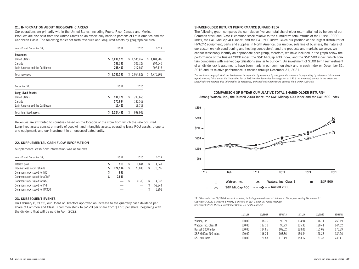### **21. INFORMATION ABOUT GEOGRAPHIC AREAS**

Our operations are primarily within the United States, including Puerto Rico, Canada and Mexico. Products are also sold from the United States on an export-only basis to portions of Latin America and the Caribbean Basin. The following tables set forth revenues and long-lived assets by geographical area:

| Years Ended December 31,        | 2021            | 2020                      | 2019            |
|---------------------------------|-----------------|---------------------------|-----------------|
| Revenues:                       |                 |                           |                 |
| <b>United States</b>            | 5,636,929<br>S. | 4,535,262<br>$\mathbb{S}$ | 4,184,206<br>\$ |
| Canada                          | 386.780         | 301.727                   | 294,040         |
| Latin America and the Caribbean | 256,483         | 217,939                   | 292,116         |
| Total revenues                  | 6,280,192<br>\$ | 5,054,928<br>\$           | 4,770,362<br>\$ |
|                                 |                 |                           |                 |
| December 31,                    | 2021            | 2020                      |                 |
| <b>Long-Lived Assets:</b>       |                 |                           |                 |
| <b>United States</b>            | \$<br>931.170   | \$<br>799,665             |                 |
| Canada                          | 175.864         | 180,518                   |                 |
| Latin America and the Caribbean | 17,427          | 19,719                    |                 |
| Total long-lived assets         | 1,124,461<br>S. | \$<br>999,902             |                 |

Revenues are attributed to countries based on the location of the store from which the sale occurred. Long-lived assets consist primarily of goodwill and intangible assets, operating lease ROU assets, property and equipment, and our investment in an unconsolidated entity.

### **22. SUPPLEMENTAL CASH FLOW INFORMATION**

Supplemental cash flow information was as follows:

| Years Ended December 31,      | 2021    | 2020   | 2019   |
|-------------------------------|---------|--------|--------|
| Interest paid                 | 913     | 1.844  | 4.341  |
| Income taxes net of refunds   | 124.984 | 70.889 | 70,095 |
| Common stock issued for MIS   | 997     |        |        |
| Common stock issued for ACME  | 2.551   |        |        |
| Common stock issued for N&S   |         | (161)  | 4.032  |
| Common stock issued for PPI   |         |        | 58,344 |
| Common stock issued for DASCO |         |        | 6.891  |

### **23. SUBSEQUENT EVENTS**

On February 8, 2022, our Board of Directors approved an increase to the quarterly cash dividend per share of Common and Class B common stock to \$2.20 per share from \$1.95 per share, beginning with the dividend that will be paid in April 2022.

### **SHAREHOLDER RETURN PERFORMANCE (UNAUDITED)**

The following graph compares the cumulative five-year total shareholder return attained by holders of our Common stock and Class B common stock relative to the cumulative total returns of the Russell 2000 index, the S&P MidCap 400 index, and the S&P 500 index. Given our position as the largest distributor of HVAC/R equipment, parts and supplies in North America, our unique, sole line of business, the nature of our customers (air conditioning and heating contractors), and the products and markets we serve, we cannot reasonably identify an appropriate peer group; therefore, we have included in the graph below the performance of the Russell 2000 index, the S&P MidCap 400 index, and the S&P 500 index, which contain companies with market capitalizations similar to our own. An investment of \$100 (with reinvestment of all dividends) is assumed to have been made in our common stock and in each index on December 31, 2016 and its relative performance is tracked through December 31, 2021.

The performance graph shall not be deemed incorporated by reference by any general statement incorporating by reference this annual report into any filing under the Securities Act of 1933 or the Securities Exchange Act of 1934, as amended, except to the extent we *specifically incorporate this information by reference, and shall not otherwise be deemed filed under such acts.*



\*\$100 invested on 12/31/16 in stock or index, including reinvestment of dividends. Fiscal vear ending December 31, *Copyright© 2022 Standard & Poor's, a division of S&P Global. All rights reserved.*

*Copyright© 2022 Russell Investment Group. All rights reserved.*

|                      | 12/31/16 | 12/31/17 | 12/31/18 | 12/31/19 | 12/31/20 | 12/31/21 |
|----------------------|----------|----------|----------|----------|----------|----------|
| Watsco, Inc.         | 100.00   | 118.36   | 99.99    | 134.94   | 176.11   | 250.19   |
| Watsco, Inc. Class B | 100.00   | 117.11   | 96.73    | 135.33   | 180.41   | 244.52   |
| Russell 2000 Index   | 100.00   | 114.65   | 102.02   | 128.06   | 153.62   | 176.39   |
| S&P MidCap 400 Index | 100.00   | 116.24   | 103.36   | 130.44   | 148.26   | 184.96   |
| S&P 500 Index        | 100.00   | 121.83   | 116.49   | 153.17   | 181.35   | 233.41   |

### **COMPARISON OF 5-YEAR CUMULATIVE TOTAL SHAREHOLDER RETURN\***

Among Watsco, Inc., the Russell 2000 Index, the S&P Midcap 400 Index and the S&P 500 Index